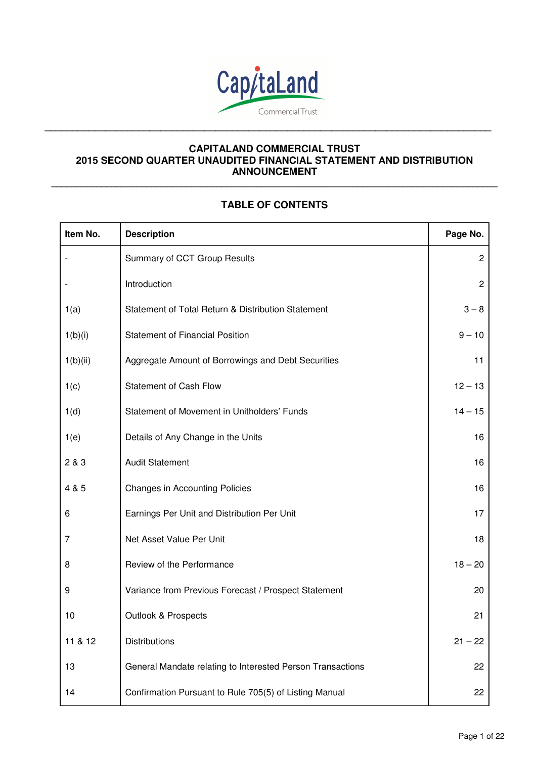

**\_\_\_\_\_\_\_\_\_\_\_\_\_\_\_\_\_\_\_\_\_\_\_\_\_\_\_\_\_\_\_\_\_\_\_\_\_\_\_\_\_\_\_\_\_\_\_\_\_\_\_\_\_\_\_\_\_\_\_\_\_\_\_\_\_\_\_\_\_\_\_\_\_\_\_\_\_\_\_\_\_** 

# **CAPITALAND COMMERCIAL TRUST 2015 SECOND QUARTER UNAUDITED FINANCIAL STATEMENT AND DISTRIBUTION ANNOUNCEMENT**

# **TABLE OF CONTENTS**

**\_\_\_\_\_\_\_\_\_\_\_\_\_\_\_\_\_\_\_\_\_\_\_\_\_\_\_\_\_\_\_\_\_\_\_\_\_\_\_\_\_\_\_\_\_\_\_\_\_\_\_\_\_\_\_\_\_\_\_\_\_\_\_\_\_\_\_\_\_\_\_\_\_\_\_\_\_\_\_\_\_\_\_\_\_\_\_\_\_**

| Item No. | <b>Description</b>                                         | Page No.       |
|----------|------------------------------------------------------------|----------------|
|          | Summary of CCT Group Results                               | $\overline{c}$ |
|          | Introduction                                               | $\overline{2}$ |
| 1(a)     | Statement of Total Return & Distribution Statement         | $3 - 8$        |
| 1(b)(i)  | <b>Statement of Financial Position</b>                     | $9 - 10$       |
| 1(b)(ii) | Aggregate Amount of Borrowings and Debt Securities         | 11             |
| 1(c)     | <b>Statement of Cash Flow</b>                              | $12 - 13$      |
| 1(d)     | Statement of Movement in Unitholders' Funds                | $14 - 15$      |
| 1(e)     | Details of Any Change in the Units                         | 16             |
| 2 & 3    | <b>Audit Statement</b>                                     | 16             |
| 4 & 5    | <b>Changes in Accounting Policies</b>                      | 16             |
| 6        | Earnings Per Unit and Distribution Per Unit                | 17             |
| 7        | Net Asset Value Per Unit                                   | 18             |
| 8        | Review of the Performance                                  | $18 - 20$      |
| 9        | Variance from Previous Forecast / Prospect Statement       | 20             |
| 10       | <b>Outlook &amp; Prospects</b>                             | 21             |
| 11 & 12  | <b>Distributions</b>                                       | $21 - 22$      |
| 13       | General Mandate relating to Interested Person Transactions | 22             |
| 14       | Confirmation Pursuant to Rule 705(5) of Listing Manual     | 22             |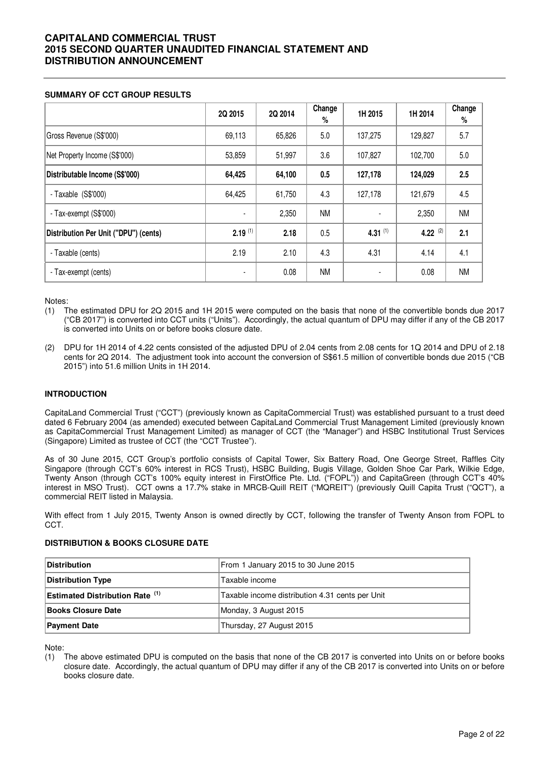### **SUMMARY OF CCT GROUP RESULTS**

|                                       | 2Q 2015        | 2Q 2014 | Change<br>% | 1H 2015    | 1H 2014    | Change<br>$\%$ |
|---------------------------------------|----------------|---------|-------------|------------|------------|----------------|
| Gross Revenue (S\$'000)               | 69,113         | 65,826  | 5.0         | 137,275    | 129,827    | 5.7            |
| Net Property Income (S\$'000)         | 53,859         | 51,997  | 3.6         | 107,827    | 102,700    | 5.0            |
| Distributable Income (S\$'000)        | 64,425         | 64,100  | 0.5         | 127,178    | 124,029    | 2.5            |
| - Taxable $(S$'000)$                  | 64,425         | 61,750  | 4.3         | 127,178    | 121,679    | 4.5            |
| - Tax-exempt (S\$'000)                |                | 2,350   | <b>NM</b>   |            | 2,350      | <b>NM</b>      |
| Distribution Per Unit ("DPU") (cents) | $2.19^{(1)}$   | 2.18    | 0.5         | 4.31 $(1)$ | 4.22 $(2)$ | 2.1            |
| - Taxable (cents)                     | 2.19           | 2.10    | 4.3         | 4.31       | 4.14       | 4.1            |
| - Tax-exempt (cents)                  | $\blacksquare$ | 0.08    | <b>NM</b>   |            | 0.08       | <b>NM</b>      |

Notes:

(1) The estimated DPU for 2Q 2015 and 1H 2015 were computed on the basis that none of the convertible bonds due 2017 ("CB 2017") is converted into CCT units ("Units"). Accordingly, the actual quantum of DPU may differ if any of the CB 2017 is converted into Units on or before books closure date.

(2) DPU for 1H 2014 of 4.22 cents consisted of the adjusted DPU of 2.04 cents from 2.08 cents for 1Q 2014 and DPU of 2.18 cents for 2Q 2014. The adjustment took into account the conversion of S\$61.5 million of convertible bonds due 2015 ("CB 2015") into 51.6 million Units in 1H 2014.

#### **INTRODUCTION**

CapitaLand Commercial Trust ("CCT") (previously known as CapitaCommercial Trust) was established pursuant to a trust deed dated 6 February 2004 (as amended) executed between CapitaLand Commercial Trust Management Limited (previously known as CapitaCommercial Trust Management Limited) as manager of CCT (the "Manager") and HSBC Institutional Trust Services (Singapore) Limited as trustee of CCT (the "CCT Trustee").

As of 30 June 2015, CCT Group's portfolio consists of Capital Tower, Six Battery Road, One George Street, Raffles City Singapore (through CCT's 60% interest in RCS Trust), HSBC Building, Bugis Village, Golden Shoe Car Park, Wilkie Edge, Twenty Anson (through CCT's 100% equity interest in FirstOffice Pte. Ltd. ("FOPL")) and CapitaGreen (through CCT's 40% interest in MSO Trust). CCT owns a 17.7% stake in MRCB-Quill REIT ("MQREIT") (previously Quill Capita Trust ("QCT"), a commercial REIT listed in Malaysia.

With effect from 1 July 2015, Twenty Anson is owned directly by CCT, following the transfer of Twenty Anson from FOPL to CCT.

#### **DISTRIBUTION & BOOKS CLOSURE DATE**

| <b>Distribution</b>                    | From 1 January 2015 to 30 June 2015             |
|----------------------------------------|-------------------------------------------------|
| <b>Distribution Type</b>               | Taxable income                                  |
| <b>Estimated Distribution Rate (1)</b> | Taxable income distribution 4.31 cents per Unit |
| <b>Books Closure Date</b>              | Monday, 3 August 2015                           |
| <b>Payment Date</b>                    | Thursday, 27 August 2015                        |

Note:

(1) The above estimated DPU is computed on the basis that none of the CB 2017 is converted into Units on or before books closure date. Accordingly, the actual quantum of DPU may differ if any of the CB 2017 is converted into Units on or before books closure date.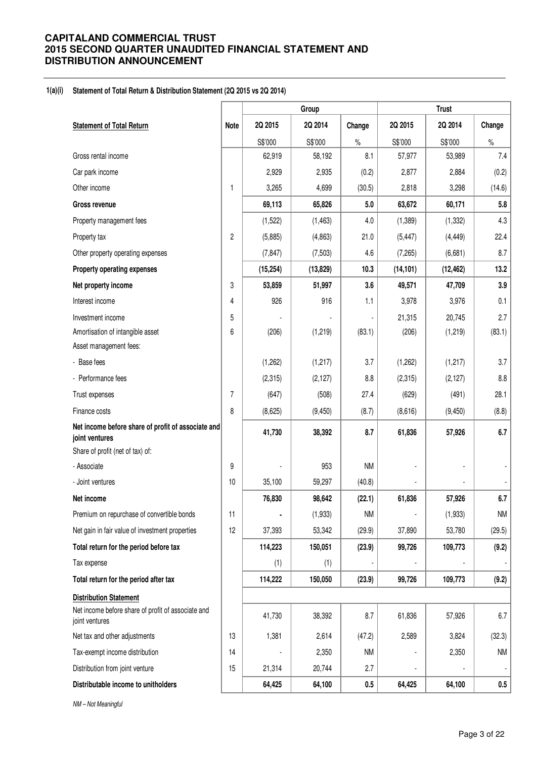### **1(a)(i) Statement of Total Return & Distribution Statement (2Q 2015 vs 2Q 2014)**

|                                                                      |                | Group     |           |           |           | <b>Trust</b> |                |  |  |
|----------------------------------------------------------------------|----------------|-----------|-----------|-----------|-----------|--------------|----------------|--|--|
| <b>Statement of Total Return</b>                                     | <b>Note</b>    | 2Q 2015   | 2Q 2014   | Change    | 2Q 2015   | 2Q 2014      | Change         |  |  |
|                                                                      |                | S\$'000   | S\$'000   | $\%$      | S\$'000   | S\$'000      | $\%$           |  |  |
| Gross rental income                                                  |                | 62,919    | 58,192    | 8.1       | 57,977    | 53,989       | 7.4            |  |  |
| Car park income                                                      |                | 2,929     | 2,935     | (0.2)     | 2,877     | 2,884        | (0.2)          |  |  |
| Other income                                                         | 1              | 3,265     | 4,699     | (30.5)    | 2,818     | 3,298        | (14.6)         |  |  |
| <b>Gross revenue</b>                                                 |                | 69,113    | 65,826    | 5.0       | 63,672    | 60,171       | 5.8            |  |  |
| Property management fees                                             |                | (1,522)   | (1, 463)  | $4.0$     | (1,389)   | (1, 332)     | 4.3            |  |  |
| Property tax                                                         | $\overline{c}$ | (5,885)   | (4, 863)  | 21.0      | (5, 447)  | (4, 449)     | 22.4           |  |  |
| Other property operating expenses                                    |                | (7, 847)  | (7, 503)  | 4.6       | (7, 265)  | (6,681)      | 8.7            |  |  |
| Property operating expenses                                          |                | (15, 254) | (13, 829) | 10.3      | (14, 101) | (12, 462)    | 13.2           |  |  |
| Net property income                                                  | 3              | 53,859    | 51,997    | 3.6       | 49,571    | 47,709       | 3.9            |  |  |
| Interest income                                                      | 4              | 926       | 916       | 1.1       | 3,978     | 3,976        | 0.1            |  |  |
| Investment income                                                    | 5              |           |           |           | 21,315    | 20,745       | 2.7            |  |  |
| Amortisation of intangible asset                                     | 6              | (206)     | (1, 219)  | (83.1)    | (206)     | (1, 219)     | (83.1)         |  |  |
| Asset management fees:                                               |                |           |           |           |           |              |                |  |  |
| - Base fees                                                          |                | (1,262)   | (1,217)   | 3.7       | (1,262)   | (1, 217)     | 3.7            |  |  |
| - Performance fees                                                   |                | (2,315)   | (2, 127)  | 8.8       | (2,315)   | (2, 127)     | 8.8            |  |  |
| Trust expenses                                                       | 7              | (647)     | (508)     | 27.4      | (629)     | (491)        | 28.1           |  |  |
| Finance costs                                                        | 8              | (8,625)   | (9, 450)  | (8.7)     | (8,616)   | (9, 450)     | (8.8)          |  |  |
| Net income before share of profit of associate and<br>joint ventures |                | 41,730    | 38,392    | 8.7       | 61,836    | 57,926       | 6.7            |  |  |
| Share of profit (net of tax) of:                                     |                |           |           |           |           |              |                |  |  |
| - Associate                                                          | 9              |           | 953       | <b>NM</b> |           |              |                |  |  |
| - Joint ventures                                                     | 10             | 35,100    | 59,297    | (40.8)    |           |              |                |  |  |
| Net income                                                           |                | 76,830    | 98,642    | (22.1)    | 61,836    | 57,926       | 6.7            |  |  |
| Premium on repurchase of convertible bonds                           | 11             | ä,        | (1,933)   | <b>NM</b> |           | (1,933)      | <b>NM</b>      |  |  |
| Net gain in fair value of investment properties                      | 12             | 37,393    | 53,342    | (29.9)    | 37,890    | 53,780       | (29.5)         |  |  |
| Total return for the period before tax                               |                | 114,223   | 150,051   | (23.9)    | 99,726    | 109,773      | (9.2)          |  |  |
| Tax expense                                                          |                | (1)       | (1)       |           |           |              |                |  |  |
| Total return for the period after tax                                |                | 114,222   | 150,050   | (23.9)    | 99,726    | 109,773      | (9.2)          |  |  |
| <b>Distribution Statement</b>                                        |                |           |           |           |           |              |                |  |  |
| Net income before share of profit of associate and<br>joint ventures |                | 41,730    | 38,392    | 8.7       | 61,836    | 57,926       | 6.7            |  |  |
| Net tax and other adjustments                                        | 13             | 1,381     | 2,614     | (47.2)    | 2,589     | 3,824        | (32.3)         |  |  |
| Tax-exempt income distribution                                       | 14             |           | 2,350     | <b>NM</b> |           | 2,350        | <b>NM</b>      |  |  |
| Distribution from joint venture                                      | 15             | 21,314    | 20,744    | 2.7       |           |              | $\blacksquare$ |  |  |
| Distributable income to unitholders                                  |                | 64,425    | 64,100    | $0.5\,$   | 64,425    | 64,100       | $0.5\,$        |  |  |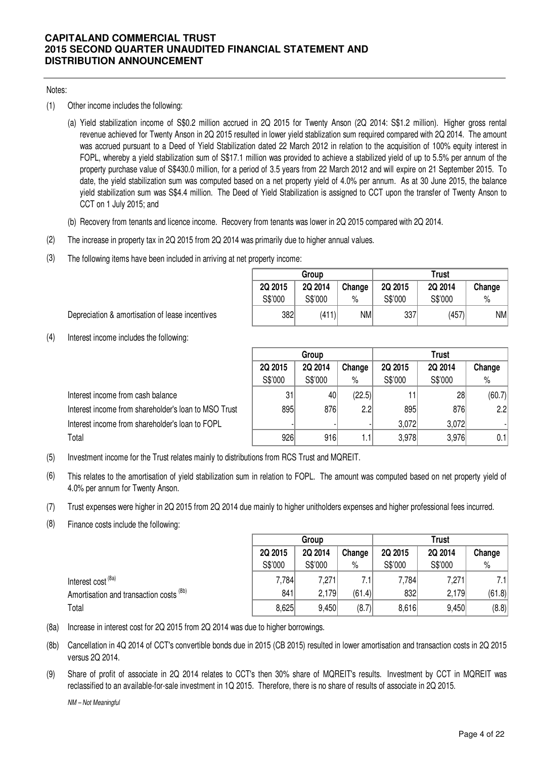### Notes:

- (1) Other income includes the following:
	- (a) Yield stabilization income of S\$0.2 million accrued in 2Q 2015 for Twenty Anson (2Q 2014: S\$1.2 million). Higher gross rental revenue achieved for Twenty Anson in 2Q 2015 resulted in lower yield stablization sum required compared with 2Q 2014. The amount was accrued pursuant to a Deed of Yield Stabilization dated 22 March 2012 in relation to the acquisition of 100% equity interest in FOPL, whereby a yield stabilization sum of S\$17.1 million was provided to achieve a stabilized yield of up to 5.5% per annum of the property purchase value of S\$430.0 million, for a period of 3.5 years from 22 March 2012 and will expire on 21 September 2015. To date, the yield stabilization sum was computed based on a net property yield of 4.0% per annum. As at 30 June 2015, the balance yield stabilization sum was S\$4.4 million. The Deed of Yield Stabilization is assigned to CCT upon the transfer of Twenty Anson to CCT on 1 July 2015; and
	- (b) Recovery from tenants and licence income. Recovery from tenants was lower in 2Q 2015 compared with 2Q 2014.
- (2) The increase in property tax in 2Q 2015 from 2Q 2014 was primarily due to higher annual values.
- (3) The following items have been included in arriving at net property income:

|         | Group   |        | Trust   |         |        |  |  |
|---------|---------|--------|---------|---------|--------|--|--|
| 2Q 2015 | 2Q 2014 | Change | 2Q 2015 | 2Q 2014 | Change |  |  |
| S\$'000 | S\$'000 | $\%$   | S\$'000 | S\$'000 | $\%$   |  |  |
| 382     | (411)   | NM     | 337     | (457)   | NM     |  |  |

Depreciation & amortisation of lease incentives

(4) Interest income includes the following:

|                                                      | Group   |         |        | <b>Trust</b> |         |        |  |
|------------------------------------------------------|---------|---------|--------|--------------|---------|--------|--|
|                                                      | 2Q 2015 | 2Q 2014 | Change | 2Q 2015      | 2Q 2014 | Change |  |
|                                                      | S\$'000 | S\$'000 | $\%$   | S\$'000      | S\$'000 | %      |  |
| Interest income from cash balance                    | 31      | 40      | (22.5) |              | 28      | (60.7) |  |
| Interest income from shareholder's loan to MSO Trust | 895     | 876     | 2.2    | 895          | 876     | 2.2    |  |
| Interest income from shareholder's loan to FOPL      |         |         |        | 3,072        | 3.072   |        |  |
| Total                                                | 926     | 916     | 1.1    | 3,978        | 3.976   | 0.1    |  |

- (5) Investment income for the Trust relates mainly to distributions from RCS Trust and MQREIT.
- (6) This relates to the amortisation of yield stabilization sum in relation to FOPL. The amount was computed based on net property yield of 4.0% per annum for Twenty Anson.
- (7) Trust expenses were higher in 2Q 2015 from 2Q 2014 due mainly to higher unitholders expenses and higher professional fees incurred.
- (8) Finance costs include the following:

|                                                    |         | Group   |        | <b>Trust</b> |         |        |  |
|----------------------------------------------------|---------|---------|--------|--------------|---------|--------|--|
|                                                    | 2Q 2015 | 2Q 2014 | Change | 2Q 2015      | 2Q 2014 | Change |  |
|                                                    | S\$'000 | S\$'000 | $\%$   | S\$'000      | S\$'000 | $\%$   |  |
| Interest cost <sup>(8a)</sup>                      | 7,784   | 7,271   |        | 7,784        | 7,271   | 7.1    |  |
| Amortisation and transaction costs <sup>(8b)</sup> | 841     | 2,179   | (61.4) | 832          | 2,179   | (61.8) |  |
| Total                                              | 8,625   | 9,450   | (8.7)  | 8,616        | 9,450   | (8.8)  |  |

- (8a) Increase in interest cost for 2Q 2015 from 2Q 2014 was due to higher borrowings.
- (8b) Cancellation in 4Q 2014 of CCT's convertible bonds due in 2015 (CB 2015) resulted in lower amortisation and transaction costs in 2Q 2015 versus 2Q 2014.
- (9) Share of profit of associate in 2Q 2014 relates to CCT's then 30% share of MQREIT's results. Investment by CCT in MQREIT was reclassified to an available-for-sale investment in 1Q 2015. Therefore, there is no share of results of associate in 2Q 2015.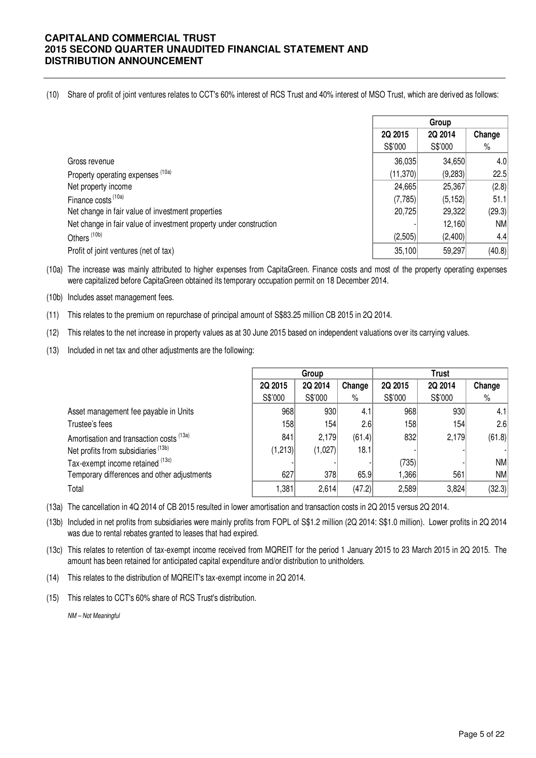(10) Share of profit of joint ventures relates to CCT's 60% interest of RCS Trust and 40% interest of MSO Trust, which are derived as follows:

|                                                                    |          | Group    |        |
|--------------------------------------------------------------------|----------|----------|--------|
|                                                                    | 2Q 2015  | 2Q 2014  | Change |
|                                                                    | S\$'000  | S\$'000  | $\%$   |
| Gross revenue                                                      | 36,035   | 34,650   | 4.0    |
| Property operating expenses (10a)                                  | (11,370) | (9,283)  | 22.5   |
| Net property income                                                | 24,665   | 25,367   | (2.8)  |
| Finance costs (10a)                                                | (7,785)  | (5, 152) | 51.1   |
| Net change in fair value of investment properties                  | 20,725   | 29,322   | (29.3) |
| Net change in fair value of investment property under construction |          | 12,160   | NM     |
| Others <sup>(10b)</sup>                                            | (2,505)  | (2,400)  | 4.4    |
| Profit of joint ventures (net of tax)                              | 35,100   | 59,297   | (40.8) |

(10a) The increase was mainly attributed to higher expenses from CapitaGreen. Finance costs and most of the property operating expenses were capitalized before CapitaGreen obtained its temporary occupation permit on 18 December 2014.

- (10b) Includes asset management fees.
- (11) This relates to the premium on repurchase of principal amount of S\$83.25 million CB 2015 in 2Q 2014.
- (12) This relates to the net increase in property values as at 30 June 2015 based on independent valuations over its carrying values.
- (13) Included in net tax and other adjustments are the following:

|                                                | Group   |         |        | <b>Trust</b> |         |        |  |
|------------------------------------------------|---------|---------|--------|--------------|---------|--------|--|
|                                                | 2Q 2015 | 2Q 2014 | Change | 2Q 2015      | 2Q 2014 | Change |  |
|                                                | S\$'000 | S\$'000 | $\%$   | S\$'000      | S\$'000 | %      |  |
| Asset management fee payable in Units          | 968     | 930     | 4.1    | 968          | 930     | 4.1    |  |
| Trustee's fees                                 | 158     | 154     | 2.6    | 158          | 154     | 2.6    |  |
| Amortisation and transaction costs (13a)       | 841     | 2,179   | (61.4) | 832          | 2,179   | (61.8) |  |
| Net profits from subsidiaries <sup>(13b)</sup> | (1,213) | (1,027) | 18.1   |              |         |        |  |
| Tax-exempt income retained (13c)               |         |         |        | (735)        |         | NM     |  |
| Temporary differences and other adjustments    | 627     | 378     | 65.9   | ,366         | 561     | NM     |  |
| Total                                          | 1,381   | 2,614   | (47.2) | 2,589        | 3,824   | (32.3) |  |

(13a) The cancellation in 4Q 2014 of CB 2015 resulted in lower amortisation and transaction costs in 2Q 2015 versus 2Q 2014.

(13b) Included in net profits from subsidiaries were mainly profits from FOPL of S\$1.2 million (2Q 2014: S\$1.0 million). Lower profits in 2Q 2014 was due to rental rebates granted to leases that had expired.

(13c) This relates to retention of tax-exempt income received from MQREIT for the period 1 January 2015 to 23 March 2015 in 2Q 2015. The amount has been retained for anticipated capital expenditure and/or distribution to unitholders.

(14) This relates to the distribution of MQREIT's tax-exempt income in 2Q 2014.

(15) This relates to CCT's 60% share of RCS Trust's distribution.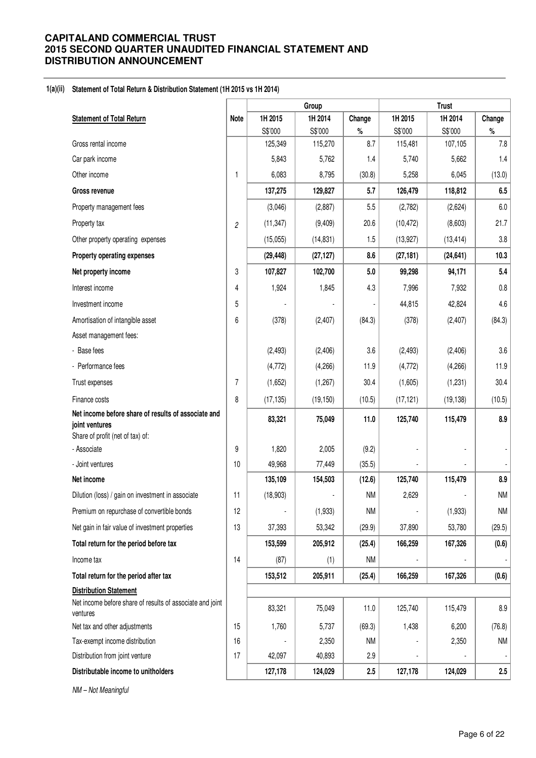### **1(a)(ii) Statement of Total Return & Distribution Statement (1H 2015 vs 1H 2014)**

|                                                                                                           |                | Group     |           |           | <b>Trust</b>             |           |                |  |  |
|-----------------------------------------------------------------------------------------------------------|----------------|-----------|-----------|-----------|--------------------------|-----------|----------------|--|--|
| <b>Statement of Total Return</b>                                                                          | <b>Note</b>    | 1H 2015   | 1H 2014   | Change    | 1H 2015                  | 1H 2014   | Change         |  |  |
|                                                                                                           |                | S\$'000   | S\$'000   | $\%$      | S\$'000                  | S\$'000   | $\%$           |  |  |
| Gross rental income                                                                                       |                | 125,349   | 115,270   | 8.7       | 115,481                  | 107,105   | 7.8            |  |  |
| Car park income                                                                                           |                | 5,843     | 5,762     | 1.4       | 5,740                    | 5,662     | 1.4            |  |  |
| Other income                                                                                              | 1              | 6,083     | 8,795     | (30.8)    | 5,258                    | 6,045     | (13.0)         |  |  |
| Gross revenue                                                                                             |                | 137,275   | 129,827   | 5.7       | 126,479                  | 118,812   | 6.5            |  |  |
| Property management fees                                                                                  |                | (3,046)   | (2,887)   | 5.5       | (2,782)                  | (2,624)   | 6.0            |  |  |
| Property tax                                                                                              | $\mathfrak{p}$ | (11, 347) | (9, 409)  | 20.6      | (10, 472)                | (8,603)   | 21.7           |  |  |
| Other property operating expenses                                                                         |                | (15,055)  | (14, 831) | 1.5       | (13, 927)                | (13, 414) | 3.8            |  |  |
| Property operating expenses                                                                               |                | (29, 448) | (27, 127) | 8.6       | (27, 181)                | (24, 641) | 10.3           |  |  |
| Net property income                                                                                       | 3              | 107,827   | 102,700   | 5.0       | 99,298                   | 94,171    | 5.4            |  |  |
| Interest income                                                                                           | 4              | 1,924     | 1,845     | 4.3       | 7,996                    | 7,932     | 0.8            |  |  |
| Investment income                                                                                         | 5              |           |           |           | 44,815                   | 42,824    | 4.6            |  |  |
| Amortisation of intangible asset                                                                          | 6              | (378)     | (2, 407)  | (84.3)    | (378)                    | (2, 407)  | (84.3)         |  |  |
| Asset management fees:                                                                                    |                |           |           |           |                          |           |                |  |  |
| - Base fees                                                                                               |                | (2, 493)  | (2, 406)  | 3.6       | (2, 493)                 | (2, 406)  | 3.6            |  |  |
| - Performance fees                                                                                        |                | (4, 772)  | (4,266)   | 11.9      | (4, 772)                 | (4,266)   | 11.9           |  |  |
| Trust expenses                                                                                            | $\overline{7}$ | (1,652)   | (1, 267)  | 30.4      | (1,605)                  | (1,231)   | 30.4           |  |  |
| Finance costs                                                                                             | 8              | (17, 135) | (19, 150) | (10.5)    | (17, 121)                | (19, 138) | (10.5)         |  |  |
| Net income before share of results of associate and<br>joint ventures<br>Share of profit (net of tax) of: |                | 83,321    | 75,049    | 11.0      | 125,740                  | 115,479   | 8.9            |  |  |
| - Associate                                                                                               | 9              | 1,820     | 2,005     | (9.2)     |                          |           |                |  |  |
| - Joint ventures                                                                                          | 10             | 49,968    | 77,449    | (35.5)    |                          |           |                |  |  |
| Net income                                                                                                |                | 135,109   | 154,503   | (12.6)    | 125,740                  | 115,479   | 8.9            |  |  |
| Dilution (loss) / gain on investment in associate                                                         | 11             | (18,903)  |           | <b>NM</b> | 2,629                    |           | <b>NM</b>      |  |  |
| Premium on repurchase of convertible bonds                                                                | 12             |           | (1,933)   | <b>NM</b> | $\ddot{\phantom{a}}$     | (1,933)   | <b>NM</b>      |  |  |
| Net gain in fair value of investment properties                                                           | 13             | 37,393    | 53,342    | (29.9)    | 37,890                   | 53,780    | (29.5)         |  |  |
| Total return for the period before tax                                                                    |                | 153,599   | 205,912   | (25.4)    | 166,259                  | 167,326   | (0.6)          |  |  |
| Income tax                                                                                                | 14             | (87)      | (1)       | <b>NM</b> |                          |           |                |  |  |
| Total return for the period after tax                                                                     |                | 153,512   | 205,911   | (25.4)    | 166,259                  | 167,326   | (0.6)          |  |  |
| <b>Distribution Statement</b>                                                                             |                |           |           |           |                          |           |                |  |  |
| Net income before share of results of associate and joint<br>ventures                                     |                | 83,321    | 75,049    | 11.0      | 125,740                  | 115,479   | $8.9\,$        |  |  |
| Net tax and other adjustments                                                                             | 15             | 1,760     | 5,737     | (69.3)    | 1,438                    | 6,200     | (76.8)         |  |  |
| Tax-exempt income distribution                                                                            | 16             |           | 2,350     | NM        |                          | 2,350     | <b>NM</b>      |  |  |
| Distribution from joint venture                                                                           | 17             | 42,097    | 40,893    | 2.9       | $\overline{\phantom{a}}$ |           | $\blacksquare$ |  |  |
| Distributable income to unitholders                                                                       |                | 127,178   | 124,029   | 2.5       | 127,178                  | 124,029   | 2.5            |  |  |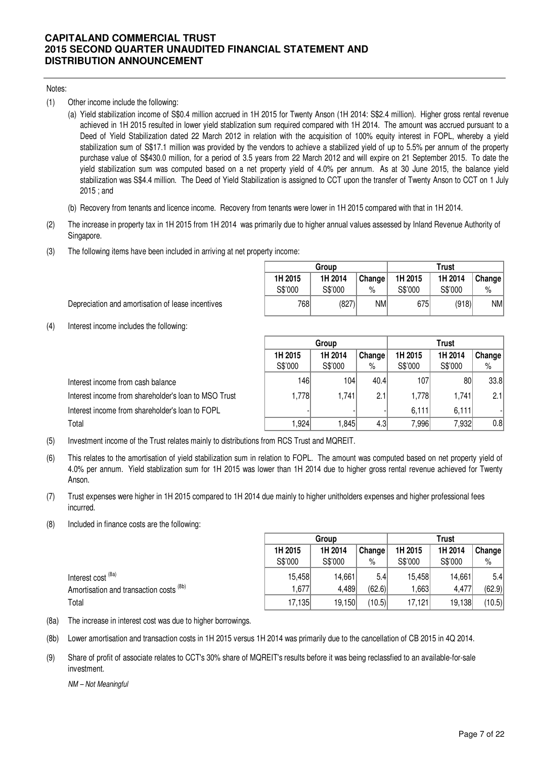### Notes:

- (1) Other income include the following:
	- (a) Yield stabilization income of S\$0.4 million accrued in 1H 2015 for Twenty Anson (1H 2014: S\$2.4 million). Higher gross rental revenue achieved in 1H 2015 resulted in lower yield stablization sum required compared with 1H 2014. The amount was accrued pursuant to a Deed of Yield Stabilization dated 22 March 2012 in relation with the acquisition of 100% equity interest in FOPL, whereby a yield stabilization sum of S\$17.1 million was provided by the vendors to achieve a stabilized yield of up to 5.5% per annum of the property purchase value of S\$430.0 million, for a period of 3.5 years from 22 March 2012 and will expire on 21 September 2015. To date the yield stabilization sum was computed based on a net property yield of 4.0% per annum. As at 30 June 2015, the balance yield stabilization was S\$4.4 million. The Deed of Yield Stabilization is assigned to CCT upon the transfer of Twenty Anson to CCT on 1 July 2015 ; and
	- (b) Recovery from tenants and licence income. Recovery from tenants were lower in 1H 2015 compared with that in 1H 2014.
- (2) The increase in property tax in 1H 2015 from 1H 2014 was primarily due to higher annual values assessed by Inland Revenue Authority of Singapore.
- (3) The following items have been included in arriving at net property income:

|         | Group   |        |         | Trust   |        |
|---------|---------|--------|---------|---------|--------|
| 1H 2015 | 1H 2014 | Change | 1H 2015 | 1H 2014 | Change |
| S\$'000 | S\$'000 | $\%$   | S\$'000 | S\$'000 | $\%$   |
| 7681    | (827)   | ΝM     | 675     | (918)   | NM     |

**Trust**

- Depreciation and amortisation of lease incentives
- (4) Interest income includes the following:

|                                                      |         | urvup   |        | ,,,,,   |         |        |  |
|------------------------------------------------------|---------|---------|--------|---------|---------|--------|--|
|                                                      | 1H 2015 | 1H 2014 | Change | 1H 2015 | 1H 2014 | Change |  |
|                                                      | S\$'000 | S\$'000 | $\%$   | S\$'000 | S\$'000 | %      |  |
| Interest income from cash balance                    | 146     | 104     | 40.4   | 107     | 80      | 33.8   |  |
| Interest income from shareholder's loan to MSO Trust | 1,778   | 1,741   | 2.1    | 1,778   | .741    | 2.1    |  |
| Interest income from shareholder's loan to FOPL      |         |         |        | 6.111   | 6,111   |        |  |
| Total                                                | .924    | 1.845   | 4.3    | 7.996   | 7,932   | 0.8    |  |

**Group**

- (5) Investment income of the Trust relates mainly to distributions from RCS Trust and MQREIT.
- (6) This relates to the amortisation of yield stabilization sum in relation to FOPL. The amount was computed based on net property yield of 4.0% per annum. Yield stablization sum for 1H 2015 was lower than 1H 2014 due to higher gross rental revenue achieved for Twenty Anson.
- (7) Trust expenses were higher in 1H 2015 compared to 1H 2014 due mainly to higher unitholders expenses and higher professional fees incurred.
- (8) Included in finance costs are the following:

|                                         | Group   |         |        | <b>Trust</b> |         |        |
|-----------------------------------------|---------|---------|--------|--------------|---------|--------|
|                                         | 1H 2015 | 1H 2014 | Change | 1H 2015      | 1H 2014 | Change |
|                                         | S\$'000 | S\$'000 | $\%$   | S\$'000      | S\$'000 | %      |
| Interest cost <sup>(8a)</sup>           | 15,458  | 14.661  | 5.4    | 15,458       | 14.661  | 5.4    |
| Amortisation and transaction costs (8b) | 1,677   | 4,489   | (62.6) | ,663         | 4.477   | (62.9) |
| Total                                   | 17,135  | 19,150  | (10.5) | 17.121       | 19,138  | (10.5) |

- (8a) The increase in interest cost was due to higher borrowings.
- (8b) Lower amortisation and transaction costs in 1H 2015 versus 1H 2014 was primarily due to the cancellation of CB 2015 in 4Q 2014.
- (9) Share of profit of associate relates to CCT's 30% share of MQREIT's results before it was being reclassfied to an available-for-sale investment.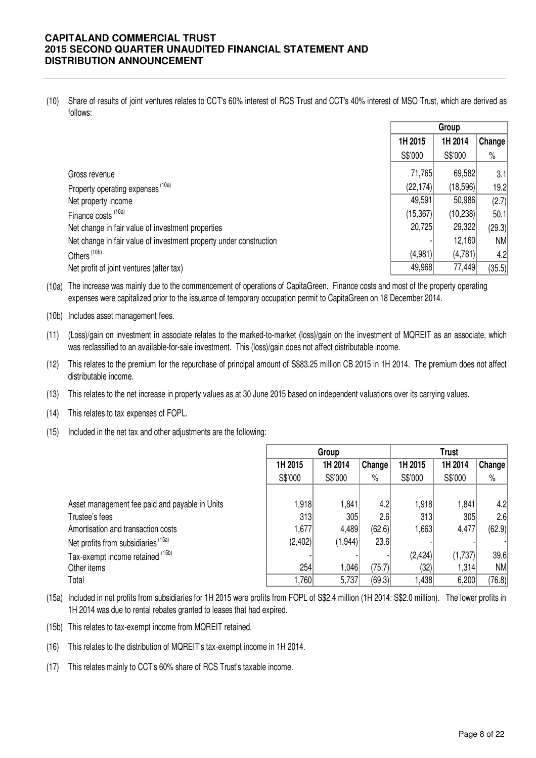(10) Share of results of joint ventures relates to CCT's 60% interest of RCS Trust and CCT's 40% interest of MSO Trust, which are derived as follows:

|                                                                    | Group     |           |        |
|--------------------------------------------------------------------|-----------|-----------|--------|
|                                                                    | 1H 2015   | 1H 2014   | Change |
|                                                                    | S\$'000   | S\$'000   | $\%$   |
| Gross revenue                                                      | 71,765    | 69,582    | 3.1    |
| Property operating expenses (10a)                                  | (22, 174) | (18,596)  | 19.2   |
| Net property income                                                | 49,591    | 50,986    | (2.7)  |
| Finance costs (10a)                                                | (15, 367) | (10, 238) | 50.1   |
| Net change in fair value of investment properties                  | 20,725    | 29,322    | (29.3) |
| Net change in fair value of investment property under construction |           | 12,160    | NM     |
| Others <sup>(10b)</sup>                                            | (4,981)   | (4,781)   | 4.2    |
| Net profit of joint ventures (after tax)                           | 49,968    | 77,449    | (35.5) |

(10a) The increase was mainly due to the commencement of operations of CapitaGreen. Finance costs and most of the property operating expenses were capitalized prior to the issuance of temporary occupation permit to CapitaGreen on 18 December 2014.

- (10b) Includes asset management fees.
- (11) (Loss)/gain on investment in associate relates to the marked-to-market (loss)/gain on the investment of MQREIT as an associate, which was reclassified to an available-for-sale investment. This (loss)/gain does not affect distributable income.
- (12) This relates to the premium for the repurchase of principal amount of S\$83.25 million CB 2015 in 1H 2014. The premium does not affect distributable income.
- (13) This relates to the net increase in property values as at 30 June 2015 based on independent valuations over its carrying values.
- (14) This relates to tax expenses of FOPL.
- (15) Included in the net tax and other adjustments are the following:

|                                                |         | Group   |        |         | <b>Trust</b> |        |  |
|------------------------------------------------|---------|---------|--------|---------|--------------|--------|--|
|                                                | 1H 2015 | 1H 2014 | Change | 1H 2015 | 1H 2014      | Change |  |
|                                                | S\$'000 | S\$'000 | $\%$   | S\$'000 | S\$'000      | $\%$   |  |
|                                                |         |         |        |         |              |        |  |
| Asset management fee paid and payable in Units | 1,918   | 1,841   | 4.2    | 1,918   | 1,841        | 4.2    |  |
| Trustee's fees                                 | 313     | 305     | 2.6    | 313     | 305          | 2.6    |  |
| Amortisation and transaction costs             | 1,677   | 4,489   | (62.6) | 1,663   | 4,477        | (62.9) |  |
| Net profits from subsidiaries <sup>(15a)</sup> | (2,402) | (1,944) | 23.6   |         |              |        |  |
| Tax-exempt income retained (15b)               |         |         |        | (2,424) | (1,737)      | 39.6   |  |
| Other items                                    | 254     | 1,046   | (75.7) | (32)    | 1,314        | NM     |  |
| Total                                          | ,760    | 5,737   | (69.3) | .438    | 6,200        | (76.8) |  |

- (15a) Included in net profits from subsidiaries for 1H 2015 were profits from FOPL of S\$2.4 million (1H 2014: S\$2.0 million). The lower profits in 1H 2014 was due to rental rebates granted to leases that had expired.
- (15b) This relates to tax-exempt income from MQREIT retained.
- (16) This relates to the distribution of MQREIT's tax-exempt income in 1H 2014.
- (17) This relates mainly to CCT's 60% share of RCS Trust's taxable income.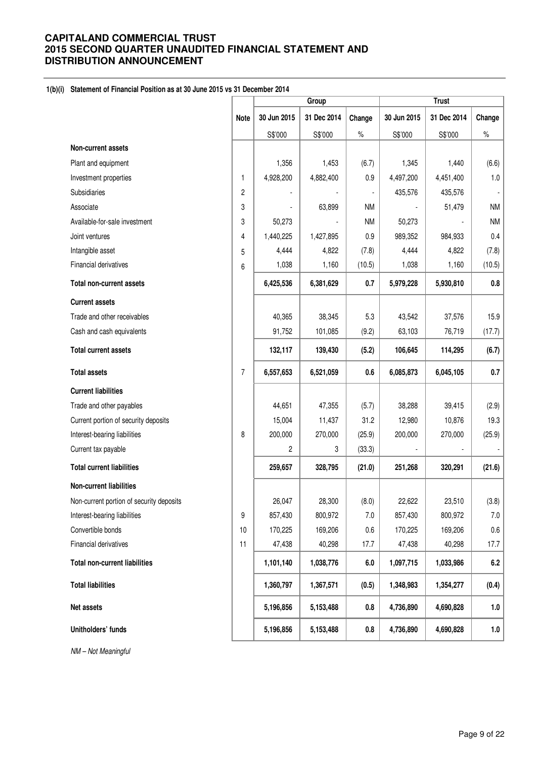### **1(b)(i) Statement of Financial Position as at 30 June 2015 vs 31 December 2014**

|                                          |                | Group       |             |                          | <b>Trust</b> |             |           |
|------------------------------------------|----------------|-------------|-------------|--------------------------|--------------|-------------|-----------|
|                                          | <b>Note</b>    | 30 Jun 2015 | 31 Dec 2014 | Change                   | 30 Jun 2015  | 31 Dec 2014 | Change    |
|                                          |                | S\$'000     | S\$'000     | $\%$                     | S\$'000      | S\$'000     | $\%$      |
| Non-current assets                       |                |             |             |                          |              |             |           |
| Plant and equipment                      |                | 1,356       | 1,453       | (6.7)                    | 1,345        | 1,440       | (6.6)     |
| Investment properties                    | 1              | 4,928,200   | 4,882,400   | 0.9                      | 4,497,200    | 4,451,400   | $1.0\,$   |
| Subsidiaries                             | $\overline{c}$ |             |             | $\overline{\phantom{a}}$ | 435,576      | 435,576     |           |
| Associate                                | 3              |             | 63,899      | <b>NM</b>                |              | 51,479      | <b>NM</b> |
| Available-for-sale investment            | 3              | 50,273      |             | <b>NM</b>                | 50,273       |             | <b>NM</b> |
| Joint ventures                           | 4              | 1,440,225   | 1,427,895   | 0.9                      | 989,352      | 984,933     | 0.4       |
| Intangible asset                         | 5              | 4,444       | 4,822       | (7.8)                    | 4,444        | 4,822       | (7.8)     |
| Financial derivatives                    | 6              | 1,038       | 1,160       | (10.5)                   | 1,038        | 1,160       | (10.5)    |
| <b>Total non-current assets</b>          |                | 6,425,536   | 6,381,629   | 0.7                      | 5,979,228    | 5,930,810   | 0.8       |
| <b>Current assets</b>                    |                |             |             |                          |              |             |           |
| Trade and other receivables              |                | 40,365      | 38,345      | 5.3                      | 43,542       | 37,576      | 15.9      |
| Cash and cash equivalents                |                | 91,752      | 101,085     | (9.2)                    | 63,103       | 76,719      | (17.7)    |
| <b>Total current assets</b>              |                | 132,117     | 139,430     | (5.2)                    | 106,645      | 114,295     | (6.7)     |
| <b>Total assets</b>                      | 7              | 6,557,653   | 6,521,059   | 0.6                      | 6,085,873    | 6,045,105   | 0.7       |
| <b>Current liabilities</b>               |                |             |             |                          |              |             |           |
| Trade and other payables                 |                | 44,651      | 47,355      | (5.7)                    | 38,288       | 39,415      | (2.9)     |
| Current portion of security deposits     |                | 15,004      | 11,437      | 31.2                     | 12,980       | 10,876      | 19.3      |
| Interest-bearing liabilities             | 8              | 200,000     | 270,000     | (25.9)                   | 200,000      | 270,000     | (25.9)    |
| Current tax payable                      |                | 2           | 3           | (33.3)                   |              |             |           |
| <b>Total current liabilities</b>         |                | 259,657     | 328,795     | (21.0)                   | 251,268      | 320,291     | (21.6)    |
| <b>Non-current liabilities</b>           |                |             |             |                          |              |             |           |
| Non-current portion of security deposits |                | 26,047      | 28,300      | (8.0)                    | 22,622       | 23,510      | (3.8)     |
| Interest-bearing liabilities             | 9              | 857,430     | 800,972     | 7.0                      | 857,430      | 800,972     | 7.0       |
| Convertible bonds                        | 10             | 170,225     | 169,206     | 0.6                      | 170,225      | 169,206     | 0.6       |
| Financial derivatives                    | 11             | 47,438      | 40,298      | 17.7                     | 47,438       | 40,298      | 17.7      |
| <b>Total non-current liabilities</b>     |                | 1,101,140   | 1,038,776   | 6.0                      | 1,097,715    | 1,033,986   | 6.2       |
| <b>Total liabilities</b>                 |                | 1,360,797   | 1,367,571   | (0.5)                    | 1,348,983    | 1,354,277   | (0.4)     |
| Net assets                               |                | 5,196,856   | 5,153,488   | 0.8                      | 4,736,890    | 4,690,828   | 1.0       |
| Unitholders' funds                       |                | 5,196,856   | 5,153,488   | 0.8                      | 4,736,890    | 4,690,828   | 1.0       |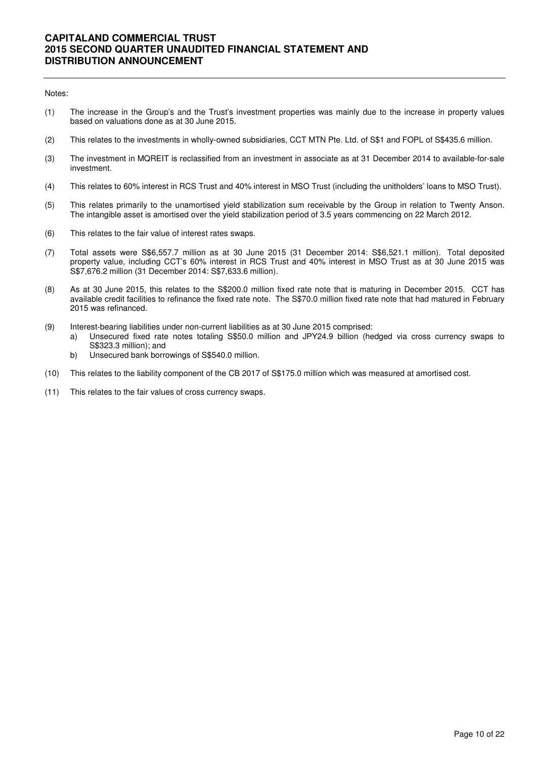#### Notes:

- (1) The increase in the Group's and the Trust's investment properties was mainly due to the increase in property values based on valuations done as at 30 June 2015.
- (2) This relates to the investments in wholly-owned subsidiaries, CCT MTN Pte. Ltd. of S\$1 and FOPL of S\$435.6 million.
- (3) The investment in MQREIT is reclassified from an investment in associate as at 31 December 2014 to available-for-sale investment.
- (4) This relates to 60% interest in RCS Trust and 40% interest in MSO Trust (including the unitholders' loans to MSO Trust).
- (5) This relates primarily to the unamortised yield stabilization sum receivable by the Group in relation to Twenty Anson. The intangible asset is amortised over the yield stabilization period of 3.5 years commencing on 22 March 2012.
- (6) This relates to the fair value of interest rates swaps.
- (7) Total assets were S\$6,557.7 million as at 30 June 2015 (31 December 2014: S\$6,521.1 million). Total deposited property value, including CCT's 60% interest in RCS Trust and 40% interest in MSO Trust as at 30 June 2015 was S\$7,676.2 million (31 December 2014: S\$7,633.6 million).
- (8) As at 30 June 2015, this relates to the S\$200.0 million fixed rate note that is maturing in December 2015. CCT has available credit facilities to refinance the fixed rate note. The S\$70.0 million fixed rate note that had matured in February 2015 was refinanced.
- (9) Interest-bearing liabilities under non-current liabilities as at 30 June 2015 comprised:
	- a) Unsecured fixed rate notes totaling S\$50.0 million and JPY24.9 billion (hedged via cross currency swaps to S\$323.3 million); and
	- b) Unsecured bank borrowings of S\$540.0 million.
- (10) This relates to the liability component of the CB 2017 of S\$175.0 million which was measured at amortised cost.
- (11) This relates to the fair values of cross currency swaps.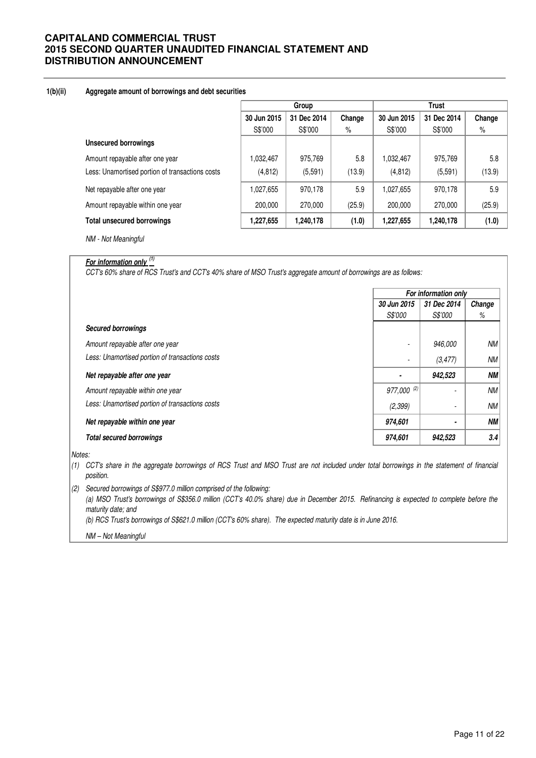### **1(b)(ii) Aggregate amount of borrowings and debt securities**

|                                                 | Group       |             |        | <b>Trust</b> |             |        |  |
|-------------------------------------------------|-------------|-------------|--------|--------------|-------------|--------|--|
|                                                 | 30 Jun 2015 | 31 Dec 2014 | Change | 30 Jun 2015  | 31 Dec 2014 | Change |  |
|                                                 | S\$'000     | S\$'000     | $\%$   | S\$'000      | S\$'000     | $\%$   |  |
| <b>Unsecured borrowings</b>                     |             |             |        |              |             |        |  |
| Amount repayable after one year                 | 1,032,467   | 975,769     | 5.8    | 1,032,467    | 975,769     | 5.8    |  |
| Less: Unamortised portion of transactions costs | (4, 812)    | (5,591)     | (13.9) | (4, 812)     | (5, 591)    | (13.9) |  |
| Net repayable after one year                    | 1,027,655   | 970,178     | 5.9    | 1,027,655    | 970,178     | 5.9    |  |
| Amount repayable within one year                | 200,000     | 270,000     | (25.9) | 200,000      | 270,000     | (25.9) |  |
| <b>Total unsecured borrowings</b>               | 1,227,655   | 1,240,178   | (1.0)  | 1,227,655    | 1,240,178   | (1.0)  |  |

NM - Not Meaningful

# **For information only (1)**

CCT's 60% share of RCS Trust's and CCT's 40% share of MSO Trust's aggregate amount of borrowings are as follows:

|                                                 | For information only |             |           |  |
|-------------------------------------------------|----------------------|-------------|-----------|--|
|                                                 | 30 Jun 2015          | 31 Dec 2014 | Change    |  |
|                                                 | S\$'000              | S\$'000     | %         |  |
| <b>Secured borrowings</b>                       |                      |             |           |  |
| Amount repayable after one year                 | ٠                    | 946,000     | NМ        |  |
| Less: Unamortised portion of transactions costs |                      | (3, 477)    | NМ        |  |
| Net repayable after one year                    |                      | 942,523     | NΜ        |  |
| Amount repayable within one year                | $977,000^{(2)}$      | ٠           | <b>NM</b> |  |
| Less: Unamortised portion of transactions costs | (2, 399)             | ٠           | <b>NM</b> |  |
| Net repayable within one year                   | 974,601              |             | <b>NM</b> |  |
| <b>Total secured borrowings</b>                 | 974,601              | 942,523     | 3.4       |  |

Notes:

- (1) CCT's share in the aggregate borrowings of RCS Trust and MSO Trust are not included under total borrowings in the statement of financial position.
- (2) Secured borrowings of S\$977.0 million comprised of the following:

(a) MSO Trust's borrowings of S\$356.0 million (CCT's 40.0% share) due in December 2015. Refinancing is expected to complete before the maturity date; and

(b) RCS Trust's borrowings of S\$621.0 million (CCT's 60% share). The expected maturity date is in June 2016.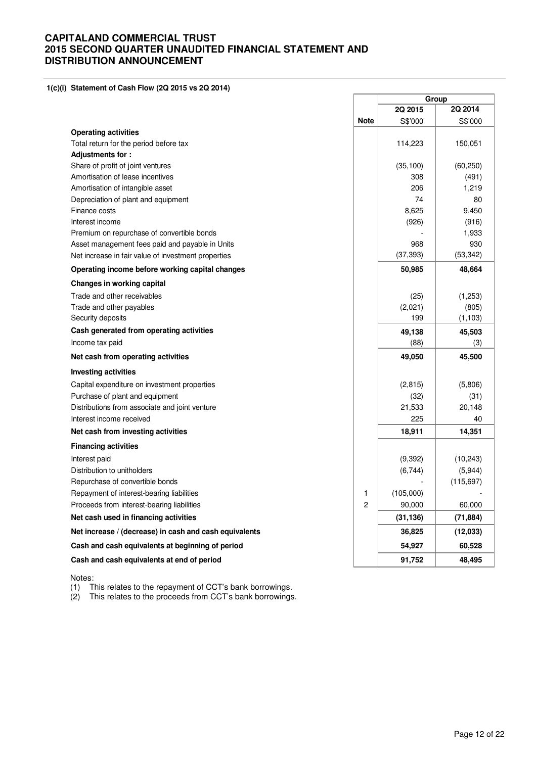**1(c)(i) Statement of Cash Flow (2Q 2015 vs 2Q 2014)** 

|                                                        |             | Group     |            |
|--------------------------------------------------------|-------------|-----------|------------|
|                                                        |             | 2Q 2015   | 2Q 2014    |
|                                                        | <b>Note</b> | S\$'000   | S\$'000    |
| <b>Operating activities</b>                            |             |           |            |
| Total return for the period before tax                 |             | 114,223   | 150,051    |
| Adjustments for:                                       |             |           |            |
| Share of profit of joint ventures                      |             | (35, 100) | (60, 250)  |
| Amortisation of lease incentives                       |             | 308       | (491)      |
| Amortisation of intangible asset                       |             | 206       | 1,219      |
| Depreciation of plant and equipment                    |             | 74        | 80         |
| Finance costs                                          |             | 8,625     | 9,450      |
| Interest income                                        |             | (926)     | (916)      |
| Premium on repurchase of convertible bonds             |             |           | 1,933      |
| Asset management fees paid and payable in Units        |             | 968       | 930        |
| Net increase in fair value of investment properties    |             | (37, 393) | (53, 342)  |
| Operating income before working capital changes        |             | 50,985    | 48,664     |
| Changes in working capital                             |             |           |            |
| Trade and other receivables                            |             | (25)      | (1,253)    |
| Trade and other payables                               |             | (2,021)   | (805)      |
| Security deposits                                      |             | 199       | (1, 103)   |
| Cash generated from operating activities               |             | 49,138    | 45,503     |
| Income tax paid                                        |             | (88)      | (3)        |
| Net cash from operating activities                     |             | 49,050    | 45,500     |
| <b>Investing activities</b>                            |             |           |            |
| Capital expenditure on investment properties           |             | (2, 815)  | (5,806)    |
| Purchase of plant and equipment                        |             | (32)      | (31)       |
| Distributions from associate and joint venture         |             | 21,533    | 20,148     |
| Interest income received                               |             | 225       | 40         |
| Net cash from investing activities                     |             | 18,911    | 14,351     |
| <b>Financing activities</b>                            |             |           |            |
| Interest paid                                          |             | (9,392)   | (10, 243)  |
| Distribution to unitholders                            |             | (6,744)   | (5,944)    |
| Repurchase of convertible bonds                        |             |           | (115, 697) |
| Repayment of interest-bearing liabilities              |             | (105,000) |            |
| Proceeds from interest-bearing liabilities             | 2           | 90,000    | 60,000     |
| Net cash used in financing activities                  |             | (31, 136) | (71, 884)  |
| Net increase / (decrease) in cash and cash equivalents |             | 36,825    | (12,033)   |
| Cash and cash equivalents at beginning of period       |             | 54,927    | 60,528     |
| Cash and cash equivalents at end of period             |             | 91,752    | 48,495     |

Notes:

(1) This relates to the repayment of CCT's bank borrowings.

(2) This relates to the proceeds from CCT's bank borrowings.

ä

 $\overline{\phantom{0}}$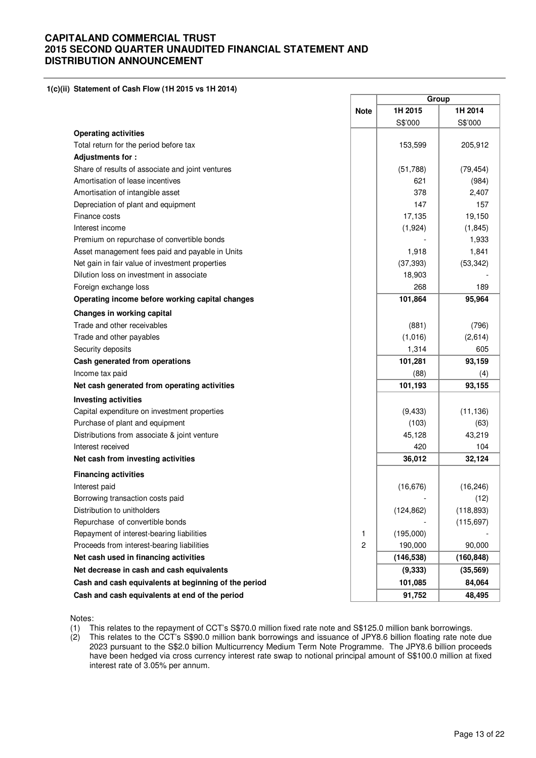#### **1(c)(ii) Statement of Cash Flow (1H 2015 vs 1H 2014)**

|                                                      |             | Group      |            |  |
|------------------------------------------------------|-------------|------------|------------|--|
|                                                      | <b>Note</b> | 1H 2015    | 1H 2014    |  |
|                                                      |             | S\$'000    | S\$'000    |  |
| <b>Operating activities</b>                          |             |            |            |  |
| Total return for the period before tax               |             | 153,599    | 205,912    |  |
| Adjustments for:                                     |             |            |            |  |
| Share of results of associate and joint ventures     |             | (51,788)   | (79, 454)  |  |
| Amortisation of lease incentives                     |             | 621        | (984)      |  |
| Amortisation of intangible asset                     |             | 378        | 2,407      |  |
| Depreciation of plant and equipment                  |             | 147        | 157        |  |
| Finance costs                                        |             | 17,135     | 19,150     |  |
| Interest income                                      |             | (1,924)    | (1, 845)   |  |
| Premium on repurchase of convertible bonds           |             |            | 1,933      |  |
| Asset management fees paid and payable in Units      |             | 1,918      | 1,841      |  |
| Net gain in fair value of investment properties      |             | (37, 393)  | (53, 342)  |  |
| Dilution loss on investment in associate             |             | 18,903     |            |  |
| Foreign exchange loss                                |             | 268        | 189        |  |
| Operating income before working capital changes      |             | 101,864    | 95,964     |  |
| Changes in working capital                           |             |            |            |  |
| Trade and other receivables                          |             | (881)      | (796)      |  |
| Trade and other payables                             |             | (1,016)    | (2,614)    |  |
| Security deposits                                    |             | 1,314      | 605        |  |
| Cash generated from operations                       |             | 101,281    | 93,159     |  |
| Income tax paid                                      |             | (88)       | (4)        |  |
| Net cash generated from operating activities         |             | 101,193    | 93,155     |  |
| <b>Investing activities</b>                          |             |            |            |  |
| Capital expenditure on investment properties         |             | (9, 433)   | (11, 136)  |  |
| Purchase of plant and equipment                      |             | (103)      | (63)       |  |
| Distributions from associate & joint venture         |             | 45,128     | 43,219     |  |
| Interest received                                    |             | 420        | 104        |  |
| Net cash from investing activities                   |             | 36,012     | 32,124     |  |
| <b>Financing activities</b>                          |             |            |            |  |
| Interest paid                                        |             | (16, 676)  | (16, 246)  |  |
| Borrowing transaction costs paid                     |             |            | (12)       |  |
| Distribution to unitholders                          |             | (124, 862) | (118, 893) |  |
| Repurchase of convertible bonds                      |             |            | (115, 697) |  |
| Repayment of interest-bearing liabilities            | 1           | (195,000)  |            |  |
| Proceeds from interest-bearing liabilities           | 2           | 190,000    | 90,000     |  |
| Net cash used in financing activities                |             | (146, 538) | (160, 848) |  |
| Net decrease in cash and cash equivalents            |             | (9, 333)   | (35, 569)  |  |
| Cash and cash equivalents at beginning of the period |             | 101,085    | 84,064     |  |
| Cash and cash equivalents at end of the period       |             | 91,752     | 48,495     |  |

Notes:

(1) This relates to the repayment of CCT's S\$70.0 million fixed rate note and S\$125.0 million bank borrowings.

This relates to the CCT's S\$90.0 million bank borrowings and issuance of JPY8.6 billion floating rate note due 2023 pursuant to the S\$2.0 billion Multicurrency Medium Term Note Programme. The JPY8.6 billion proceeds have been hedged via cross currency interest rate swap to notional principal amount of S\$100.0 million at fixed interest rate of 3.05% per annum.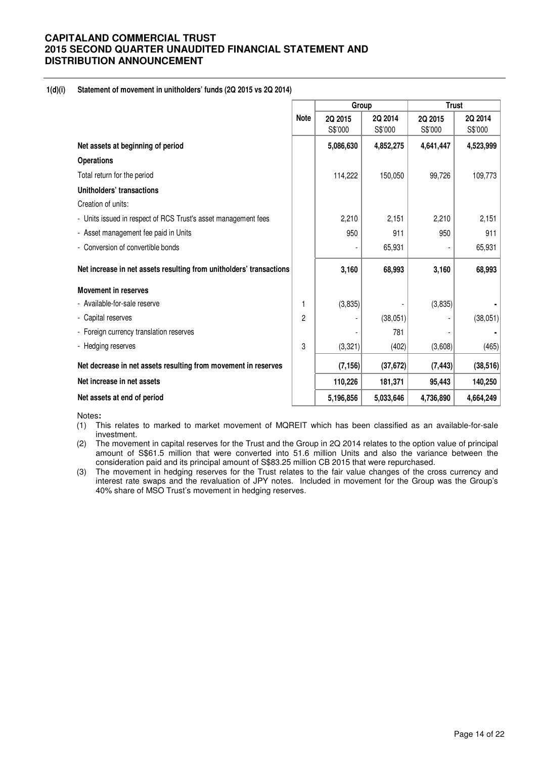### **1(d)(i) Statement of movement in unitholders' funds (2Q 2015 vs 2Q 2014)**

|                                                                     |                | Group     |           | <b>Trust</b> |           |  |
|---------------------------------------------------------------------|----------------|-----------|-----------|--------------|-----------|--|
|                                                                     | <b>Note</b>    | 2Q 2015   | 2Q 2014   | 2Q 2015      | 2Q 2014   |  |
|                                                                     |                | S\$'000   | S\$'000   | S\$'000      | S\$'000   |  |
| Net assets at beginning of period                                   |                | 5,086,630 | 4,852,275 | 4,641,447    | 4,523,999 |  |
| <b>Operations</b>                                                   |                |           |           |              |           |  |
| Total return for the period                                         |                | 114,222   | 150,050   | 99,726       | 109,773   |  |
| Unitholders' transactions                                           |                |           |           |              |           |  |
| Creation of units:                                                  |                |           |           |              |           |  |
| - Units issued in respect of RCS Trust's asset management fees      |                | 2,210     | 2,151     | 2,210        | 2,151     |  |
| - Asset management fee paid in Units                                |                | 950       | 911       | 950          | 911       |  |
| - Conversion of convertible bonds                                   |                |           | 65,931    |              | 65,931    |  |
| Net increase in net assets resulting from unitholders' transactions |                | 3,160     | 68,993    | 3,160        | 68,993    |  |
| <b>Movement in reserves</b>                                         |                |           |           |              |           |  |
| - Available-for-sale reserve                                        | 1              | (3,835)   |           | (3,835)      |           |  |
| - Capital reserves                                                  | $\overline{c}$ |           | (38,051)  |              | (38,051)  |  |
| - Foreign currency translation reserves                             |                |           | 781       |              |           |  |
| - Hedging reserves                                                  | 3              | (3,321)   | (402)     | (3,608)      | (465)     |  |
| Net decrease in net assets resulting from movement in reserves      |                | (7, 156)  | (37, 672) | (7, 443)     | (38, 516) |  |
| Net increase in net assets                                          |                | 110,226   | 181,371   | 95,443       | 140,250   |  |
| Net assets at end of period                                         |                | 5,196,856 | 5,033,646 | 4,736,890    | 4,664,249 |  |

Notes**:** 

- (1) This relates to marked to market movement of MQREIT which has been classified as an available-for-sale investment.
- (2) The movement in capital reserves for the Trust and the Group in 2Q 2014 relates to the option value of principal amount of S\$61.5 million that were converted into 51.6 million Units and also the variance between the consideration paid and its principal amount of S\$83.25 million CB 2015 that were repurchased.
- (3) The movement in hedging reserves for the Trust relates to the fair value changes of the cross currency and interest rate swaps and the revaluation of JPY notes. Included in movement for the Group was the Group's 40% share of MSO Trust's movement in hedging reserves.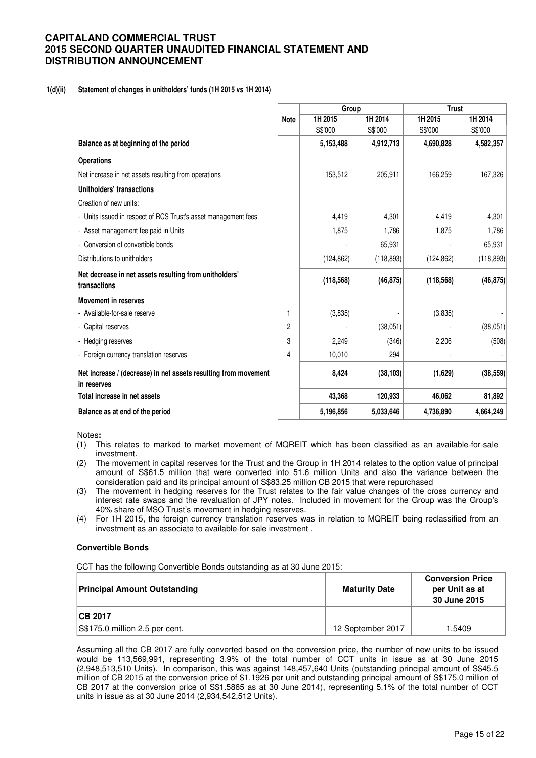### **1(d)(ii) Statement of changes in unitholders' funds (1H 2015 vs 1H 2014)**

|                                                                                |             | Group      |            | <b>Trust</b> |            |  |  |
|--------------------------------------------------------------------------------|-------------|------------|------------|--------------|------------|--|--|
|                                                                                | <b>Note</b> | 1H 2015    | 1H 2014    | 1H 2015      | 1H 2014    |  |  |
|                                                                                |             | S\$'000    | S\$'000    | S\$'000      | S\$'000    |  |  |
| Balance as at beginning of the period                                          |             | 5,153,488  | 4,912,713  | 4,690,828    | 4,582,357  |  |  |
| <b>Operations</b>                                                              |             |            |            |              |            |  |  |
| Net increase in net assets resulting from operations                           |             | 153,512    | 205,911    | 166,259      | 167,326    |  |  |
| Unitholders' transactions                                                      |             |            |            |              |            |  |  |
| Creation of new units:                                                         |             |            |            |              |            |  |  |
| - Units issued in respect of RCS Trust's asset management fees                 |             | 4,419      | 4,301      | 4,419        | 4,301      |  |  |
| - Asset management fee paid in Units                                           |             | 1,875      | 1,786      | 1,875        | 1,786      |  |  |
| - Conversion of convertible bonds                                              |             |            | 65,931     |              | 65,931     |  |  |
| Distributions to unitholders                                                   |             | (124, 862) | (118, 893) | (124, 862)   | (118, 893) |  |  |
| Net decrease in net assets resulting from unitholders'<br>transactions         |             | (118, 568) | (46, 875)  | (118, 568)   | (46, 875)  |  |  |
| <b>Movement in reserves</b>                                                    |             |            |            |              |            |  |  |
| - Available-for-sale reserve                                                   | 1           | (3,835)    |            | (3,835)      |            |  |  |
| - Capital reserves                                                             | 2           |            | (38,051)   |              | (38, 051)  |  |  |
| - Hedging reserves                                                             | 3           | 2,249      | (346)      | 2,206        | (508)      |  |  |
| - Foreign currency translation reserves                                        | 4           | 10,010     | 294        |              |            |  |  |
| Net increase / (decrease) in net assets resulting from movement<br>in reserves |             | 8,424      | (38, 103)  | (1,629)      | (38, 559)  |  |  |
| Total increase in net assets                                                   |             | 43,368     | 120,933    | 46,062       | 81,892     |  |  |
| Balance as at end of the period                                                |             | 5,196,856  | 5,033,646  | 4,736,890    | 4,664,249  |  |  |

Notes**:** 

- (1) This relates to marked to market movement of MQREIT which has been classified as an available-for-sale investment.
- (2) The movement in capital reserves for the Trust and the Group in 1H 2014 relates to the option value of principal amount of S\$61.5 million that were converted into 51.6 million Units and also the variance between the consideration paid and its principal amount of S\$83.25 million CB 2015 that were repurchased
- (3) The movement in hedging reserves for the Trust relates to the fair value changes of the cross currency and interest rate swaps and the revaluation of JPY notes. Included in movement for the Group was the Group's 40% share of MSO Trust's movement in hedging reserves.
- (4) For 1H 2015, the foreign currency translation reserves was in relation to MQREIT being reclassified from an investment as an associate to available-for-sale investment .

#### **Convertible Bonds**

CCT has the following Convertible Bonds outstanding as at 30 June 2015:

| <b>Principal Amount Outstanding</b> | <b>Maturity Date</b> | <b>Conversion Price</b><br>per Unit as at<br>30 June 2015 |
|-------------------------------------|----------------------|-----------------------------------------------------------|
| <b>ICB 2017</b>                     |                      |                                                           |
| S\$175.0 million 2.5 per cent.      | 12 September 2017    | 5409. ا                                                   |

Assuming all the CB 2017 are fully converted based on the conversion price, the number of new units to be issued would be 113,569,991, representing 3.9% of the total number of CCT units in issue as at 30 June 2015 (2,948,513,510 Units). In comparison, this was against 148,457,640 Units (outstanding principal amount of S\$45.5 million of CB 2015 at the conversion price of \$1.1926 per unit and outstanding principal amount of S\$175.0 million of CB 2017 at the conversion price of S\$1.5865 as at 30 June 2014), representing 5.1% of the total number of CCT units in issue as at 30 June 2014 (2,934,542,512 Units).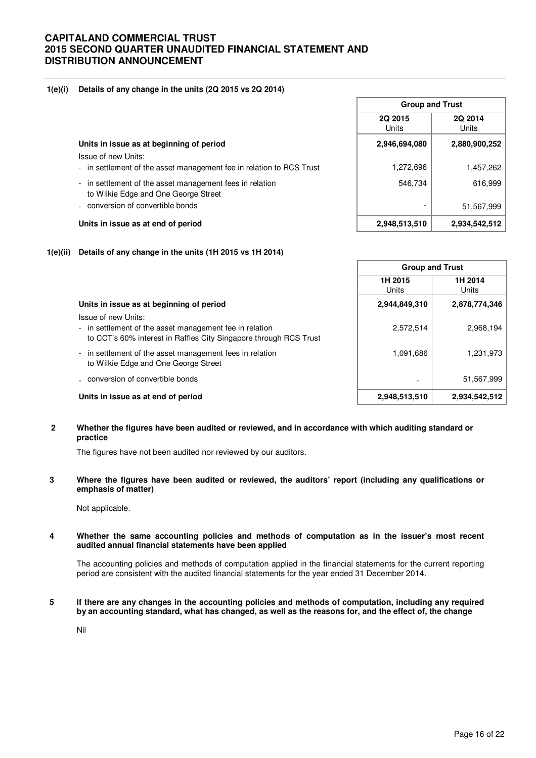### **1(e)(i) Details of any change in the units (2Q 2015 vs 2Q 2014)**

|                                                                                                  | <b>Group and Trust</b>  |                  |  |
|--------------------------------------------------------------------------------------------------|-------------------------|------------------|--|
|                                                                                                  | 2Q 2015<br><b>Units</b> | 2Q 2014<br>Units |  |
| Units in issue as at beginning of period                                                         | 2,946,694,080           | 2,880,900,252    |  |
| Issue of new Units:<br>- in settlement of the asset management fee in relation to RCS Trust      | 1,272,696               | 1,457,262        |  |
| - in settlement of the asset management fees in relation<br>to Wilkie Edge and One George Street | 546.734                 | 616,999          |  |
| - conversion of convertible bonds                                                                |                         | 51,567,999       |  |
| Units in issue as at end of period                                                               | 2,948,513,510           | 2,934,542,512    |  |

#### **1(e)(ii) Details of any change in the units (1H 2015 vs 1H 2014)**

|                                                                                                                                                     | <b>Group and Trust</b> |                  |
|-----------------------------------------------------------------------------------------------------------------------------------------------------|------------------------|------------------|
|                                                                                                                                                     | 1H 2015<br>Units       | 1H 2014<br>Units |
| Units in issue as at beginning of period                                                                                                            | 2,944,849,310          | 2,878,774,346    |
| Issue of new Units:<br>- in settlement of the asset management fee in relation<br>to CCT's 60% interest in Raffles City Singapore through RCS Trust | 2,572,514              | 2,968,194        |
| - in settlement of the asset management fees in relation<br>to Wilkie Edge and One George Street                                                    | 1,091,686              | 1.231.973        |
| - conversion of convertible bonds                                                                                                                   |                        | 51,567,999       |
| Units in issue as at end of period                                                                                                                  | 2,948,513,510          | 2,934,542,512    |

### **2 Whether the figures have been audited or reviewed, and in accordance with which auditing standard or practice**

The figures have not been audited nor reviewed by our auditors.

### **3 Where the figures have been audited or reviewed, the auditors' report (including any qualifications or emphasis of matter)**

Not applicable.

#### **4 Whether the same accounting policies and methods of computation as in the issuer's most recent audited annual financial statements have been applied**

The accounting policies and methods of computation applied in the financial statements for the current reporting period are consistent with the audited financial statements for the year ended 31 December 2014.

#### **5 If there are any changes in the accounting policies and methods of computation, including any required by an accounting standard, what has changed, as well as the reasons for, and the effect of, the change**

Nil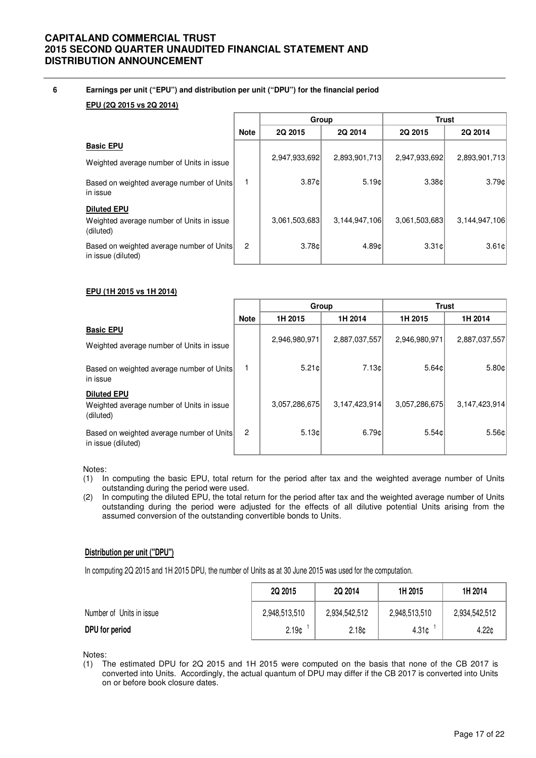### **6 Earnings per unit ("EPU") and distribution per unit ("DPU") for the financial period**

### **EPU (2Q 2015 vs 2Q 2014)**

|                                                                 |             | Group         |               | <b>Trust</b>  |               |
|-----------------------------------------------------------------|-------------|---------------|---------------|---------------|---------------|
|                                                                 | <b>Note</b> | 2Q 2015       | 2Q 2014       | 2Q 2015       | 2Q 2014       |
| <b>Basic EPU</b>                                                |             |               |               |               |               |
| Weighted average number of Units in issue                       |             | 2,947,933,692 | 2,893,901,713 | 2,947,933,692 | 2,893,901,713 |
| Based on weighted average number of Units<br>in issue           |             | 3.87c         | 5.19c         | 3.38c         | 3.79c         |
| <b>Diluted EPU</b>                                              |             |               |               |               |               |
| Weighted average number of Units in issue<br>(diluted)          |             | 3.061.503.683 | 3,144,947,106 | 3.061.503.683 | 3,144,947,106 |
| Based on weighted average number of Units<br>in issue (diluted) | 2           | 3.78c         | 4.89c         | 3.31c         | 3.61c         |

### **EPU (1H 2015 vs 1H 2014)**

|                                                                              |                | Group         |               | <b>Trust</b>  |               |
|------------------------------------------------------------------------------|----------------|---------------|---------------|---------------|---------------|
|                                                                              | <b>Note</b>    | 1H 2015       | 1H 2014       | 1H 2015       | 1H 2014       |
| <b>Basic EPU</b>                                                             |                |               |               |               |               |
| Weighted average number of Units in issue                                    |                | 2,946,980,971 | 2,887,037,557 | 2,946,980,971 | 2,887,037,557 |
| Based on weighted average number of Units<br>in issue                        |                | 5.21c         | 7.13c         | 5.64c         | 5.80c         |
| <b>Diluted EPU</b><br>Weighted average number of Units in issue<br>(diluted) |                | 3,057,286,675 | 3,147,423,914 | 3,057,286,675 | 3,147,423,914 |
| Based on weighted average number of Units<br>in issue (diluted)              | $\overline{c}$ | 5.13c         | 6.79c         | 5.54c         | 5.56c         |

Notes:

- (1) In computing the basic EPU, total return for the period after tax and the weighted average number of Units outstanding during the period were used.
- (2) In computing the diluted EPU, the total return for the period after tax and the weighted average number of Units outstanding during the period were adjusted for the effects of all dilutive potential Units arising from the assumed conversion of the outstanding convertible bonds to Units.

### **Distribution per unit ("DPU")**

In computing 2Q 2015 and 1H 2015 DPU, the number of Units as at 30 June 2015 was used for the computation.

|                          | 2Q 2015           | 2Q 2014           | 1H 2015       | 1H 2014           |
|--------------------------|-------------------|-------------------|---------------|-------------------|
| Number of Units in issue | 2,948,513,510     | 2,934,542,512     | 2,948,513,510 | 2,934,542,512     |
| DPU for period           | 2.19 <sub>c</sub> | 2.18 <sub>c</sub> | 4.31c         | 4.22 <sub>0</sub> |

Notes:

(1) The estimated DPU for 2Q 2015 and 1H 2015 were computed on the basis that none of the CB 2017 is converted into Units. Accordingly, the actual quantum of DPU may differ if the CB 2017 is converted into Units on or before book closure dates.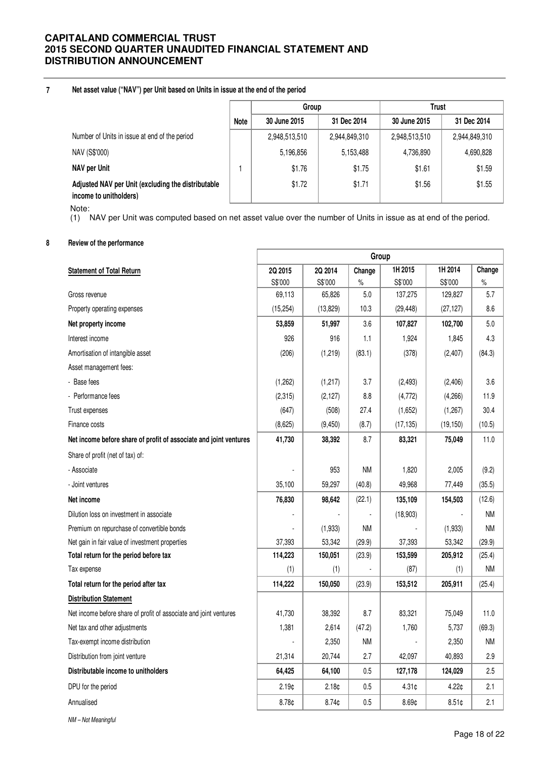#### **7 Net asset value ("NAV") per Unit based on Units in issue at the end of the period**

|                                                                              |             | Group         |               | Trust         |               |
|------------------------------------------------------------------------------|-------------|---------------|---------------|---------------|---------------|
|                                                                              | <b>Note</b> | 30 June 2015  | 31 Dec 2014   |               | 31 Dec 2014   |
| Number of Units in issue at end of the period                                |             | 2,948,513,510 | 2,944,849,310 | 2,948,513,510 | 2,944,849,310 |
| NAV (S\$'000)                                                                |             | 5,196,856     | 5,153,488     | 4,736,890     | 4,690,828     |
| NAV per Unit                                                                 |             | \$1.76        | \$1.75        | \$1.61        | \$1.59        |
| Adjusted NAV per Unit (excluding the distributable<br>income to unitholders) |             | \$1.72        | \$1.71        | \$1.56        | \$1.55        |

Note:

(1) NAV per Unit was computed based on net asset value over the number of Units in issue as at end of the period.

### **8 Review of the performance**

|                                                                   | Group             |                   |           |           |           |           |
|-------------------------------------------------------------------|-------------------|-------------------|-----------|-----------|-----------|-----------|
| <b>Statement of Total Return</b>                                  | 2Q 2015           | 2Q 2014           | Change    | 1H 2015   | 1H 2014   | Change    |
|                                                                   | S\$'000           | S\$'000           | $\%$      | S\$'000   | S\$'000   | $\%$      |
| Gross revenue                                                     | 69,113            | 65,826            | 5.0       | 137,275   | 129,827   | 5.7       |
| Property operating expenses                                       | (15, 254)         | (13, 829)         | 10.3      | (29, 448) | (27, 127) | 8.6       |
| Net property income                                               | 53,859            | 51,997            | 3.6       | 107,827   | 102,700   | 5.0       |
| Interest income                                                   | 926               | 916               | 1.1       | 1,924     | 1,845     | 4.3       |
| Amortisation of intangible asset                                  | (206)             | (1, 219)          | (83.1)    | (378)     | (2,407)   | (84.3)    |
| Asset management fees:                                            |                   |                   |           |           |           |           |
| - Base fees                                                       | (1,262)           | (1, 217)          | 3.7       | (2, 493)  | (2,406)   | 3.6       |
| - Performance fees                                                | (2,315)           | (2, 127)          | 8.8       | (4, 772)  | (4,266)   | 11.9      |
| Trust expenses                                                    | (647)             | (508)             | 27.4      | (1,652)   | (1,267)   | 30.4      |
| Finance costs                                                     | (8,625)           | (9, 450)          | (8.7)     | (17, 135) | (19, 150) | (10.5)    |
| Net income before share of profit of associate and joint ventures | 41,730            | 38,392            | 8.7       | 83,321    | 75,049    | 11.0      |
| Share of profit (net of tax) of:                                  |                   |                   |           |           |           |           |
| - Associate                                                       |                   | 953               | <b>NM</b> | 1,820     | 2,005     | (9.2)     |
| - Joint ventures                                                  | 35,100            | 59,297            | (40.8)    | 49,968    | 77,449    | (35.5)    |
| Net income                                                        | 76,830            | 98,642            | (22.1)    | 135,109   | 154,503   | (12.6)    |
| Dilution loss on investment in associate                          |                   |                   |           | (18,903)  |           | <b>NM</b> |
| Premium on repurchase of convertible bonds                        |                   | (1,933)           | <b>NM</b> |           | (1,933)   | <b>NM</b> |
| Net gain in fair value of investment properties                   | 37,393            | 53,342            | (29.9)    | 37,393    | 53,342    | (29.9)    |
| Total return for the period before tax                            | 114,223           | 150,051           | (23.9)    | 153,599   | 205,912   | (25.4)    |
| Tax expense                                                       | (1)               | (1)               |           | (87)      | (1)       | ΝM        |
| Total return for the period after tax                             | 114,222           | 150,050           | (23.9)    | 153,512   | 205,911   | (25.4)    |
| <b>Distribution Statement</b>                                     |                   |                   |           |           |           |           |
| Net income before share of profit of associate and joint ventures | 41,730            | 38,392            | 8.7       | 83,321    | 75,049    | 11.0      |
| Net tax and other adjustments                                     | 1,381             | 2,614             | (47.2)    | 1,760     | 5,737     | (69.3)    |
| Tax-exempt income distribution                                    |                   | 2,350             | <b>NM</b> |           | 2,350     | <b>NM</b> |
| Distribution from joint venture                                   | 21,314            | 20,744            | 2.7       | 42,097    | 40,893    | 2.9       |
| Distributable income to unitholders                               | 64,425            | 64,100            | 0.5       | 127,178   | 124,029   | 2.5       |
| DPU for the period                                                | 2.19 <sub>0</sub> | 2.18 <sub>0</sub> | 0.5       | 4.31c     | 4.22¢     | 2.1       |
| Annualised                                                        | 8.78¢             | 8.74c             | 0.5       | 8.69c     | 8.51c     | 2.1       |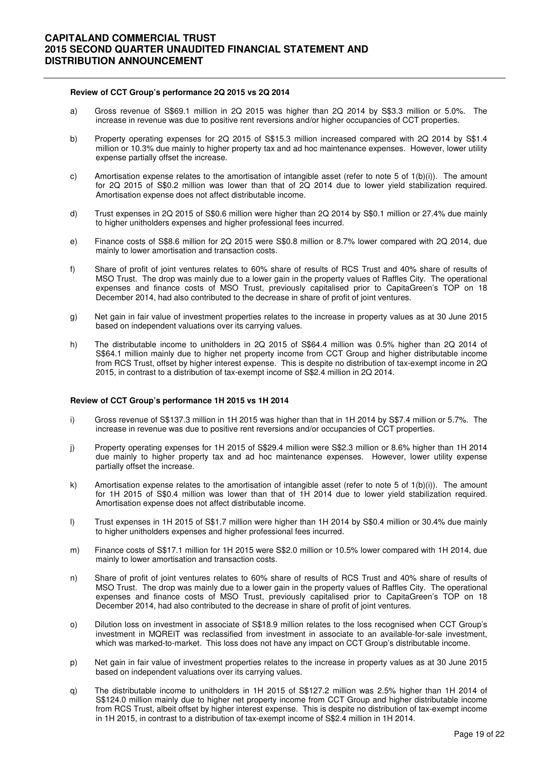#### **Review of CCT Group's performance 2Q 2015 vs 2Q 2014**

- a) Gross revenue of S\$69.1 million in 2Q 2015 was higher than 2Q 2014 by S\$3.3 million or 5.0%. The increase in revenue was due to positive rent reversions and/or higher occupancies of CCT properties.
- b) Property operating expenses for 2Q 2015 of S\$15.3 million increased compared with 2Q 2014 by S\$1.4 million or 10.3% due mainly to higher property tax and ad hoc maintenance expenses. However, lower utility expense partially offset the increase.
- c) Amortisation expense relates to the amortisation of intangible asset (refer to note 5 of  $1(b)(i)$ ). The amount for 2Q 2015 of S\$0.2 million was lower than that of 2Q 2014 due to lower yield stabilization required. Amortisation expense does not affect distributable income.
- d) Trust expenses in 2Q 2015 of S\$0.6 million were higher than 2Q 2014 by S\$0.1 million or 27.4% due mainly to higher unitholders expenses and higher professional fees incurred.
- e) Finance costs of S\$8.6 million for 2Q 2015 were S\$0.8 million or 8.7% lower compared with 2Q 2014, due mainly to lower amortisation and transaction costs.
- f) Share of profit of joint ventures relates to 60% share of results of RCS Trust and 40% share of results of MSO Trust. The drop was mainly due to a lower gain in the property values of Raffles City. The operational expenses and finance costs of MSO Trust, previously capitalised prior to CapitaGreen's TOP on 18 December 2014, had also contributed to the decrease in share of profit of joint ventures.
- g) Net gain in fair value of investment properties relates to the increase in property values as at 30 June 2015 based on independent valuations over its carrying values.
- h) The distributable income to unitholders in 2Q 2015 of S\$64.4 million was 0.5% higher than 2Q 2014 of S\$64.1 million mainly due to higher net property income from CCT Group and higher distributable income from RCS Trust, offset by higher interest expense. This is despite no distribution of tax-exempt income in 2Q 2015, in contrast to a distribution of tax-exempt income of S\$2.4 million in 2Q 2014.

#### **Review of CCT Group's performance 1H 2015 vs 1H 2014**

- i) Gross revenue of S\$137.3 million in 1H 2015 was higher than that in 1H 2014 by S\$7.4 million or 5.7%. The increase in revenue was due to positive rent reversions and/or occupancies of CCT properties.
- j) Property operating expenses for 1H 2015 of S\$29.4 million were S\$2.3 million or 8.6% higher than 1H 2014 due mainly to higher property tax and ad hoc maintenance expenses. However, lower utility expense partially offset the increase.
- k) Amortisation expense relates to the amortisation of intangible asset (refer to note 5 of 1(b)(i)). The amount for 1H 2015 of S\$0.4 million was lower than that of 1H 2014 due to lower yield stabilization required. Amortisation expense does not affect distributable income.
- l) Trust expenses in 1H 2015 of S\$1.7 million were higher than 1H 2014 by S\$0.4 million or 30.4% due mainly to higher unitholders expenses and higher professional fees incurred.
- m) Finance costs of S\$17.1 million for 1H 2015 were S\$2.0 million or 10.5% lower compared with 1H 2014, due mainly to lower amortisation and transaction costs.
- n) Share of profit of joint ventures relates to 60% share of results of RCS Trust and 40% share of results of MSO Trust. The drop was mainly due to a lower gain in the property values of Raffles City. The operational expenses and finance costs of MSO Trust, previously capitalised prior to CapitaGreen's TOP on 18 December 2014, had also contributed to the decrease in share of profit of joint ventures.
- o) Dilution loss on investment in associate of S\$18.9 million relates to the loss recognised when CCT Group's investment in MQREIT was reclassified from investment in associate to an available-for-sale investment, which was marked-to-market. This loss does not have any impact on CCT Group's distributable income.
- p) Net gain in fair value of investment properties relates to the increase in property values as at 30 June 2015 based on independent valuations over its carrying values.
- q) The distributable income to unitholders in 1H 2015 of S\$127.2 million was 2.5% higher than 1H 2014 of S\$124.0 million mainly due to higher net property income from CCT Group and higher distributable income from RCS Trust, albeit offset by higher interest expense. This is despite no distribution of tax-exempt income in 1H 2015, in contrast to a distribution of tax-exempt income of S\$2.4 million in 1H 2014.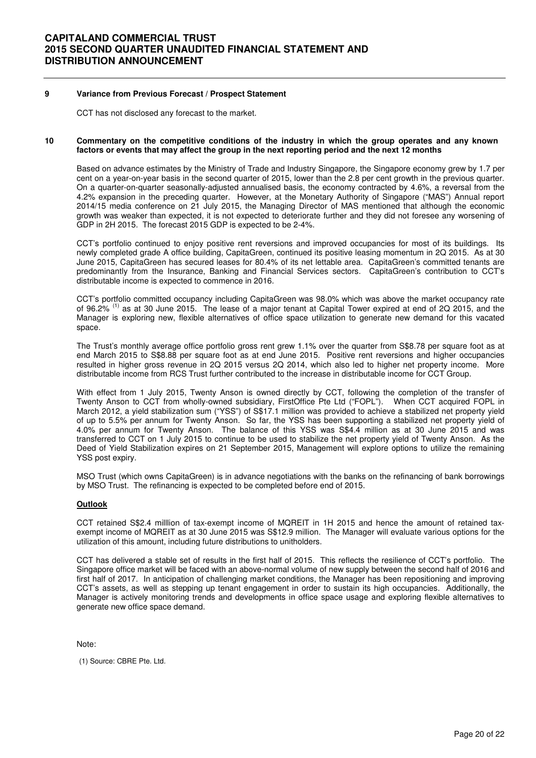### **9 Variance from Previous Forecast / Prospect Statement**

CCT has not disclosed any forecast to the market.

#### **10 Commentary on the competitive conditions of the industry in which the group operates and any known factors or events that may affect the group in the next reporting period and the next 12 months**

Based on advance estimates by the Ministry of Trade and Industry Singapore, the Singapore economy grew by 1.7 per cent on a year-on-year basis in the second quarter of 2015, lower than the 2.8 per cent growth in the previous quarter. On a quarter-on-quarter seasonally-adjusted annualised basis, the economy contracted by 4.6%, a reversal from the 4.2% expansion in the preceding quarter. However, at the Monetary Authority of Singapore ("MAS") Annual report 2014/15 media conference on 21 July 2015, the Managing Director of MAS mentioned that although the economic growth was weaker than expected, it is not expected to deteriorate further and they did not foresee any worsening of GDP in 2H 2015. The forecast 2015 GDP is expected to be 2-4%.

 CCT's portfolio continued to enjoy positive rent reversions and improved occupancies for most of its buildings. Its newly completed grade A office building, CapitaGreen, continued its positive leasing momentum in 2Q 2015. As at 30 June 2015, CapitaGreen has secured leases for 80.4% of its net lettable area. CapitaGreen's committed tenants are predominantly from the Insurance, Banking and Financial Services sectors. CapitaGreen's contribution to CCT's distributable income is expected to commence in 2016.

 CCT's portfolio committed occupancy including CapitaGreen was 98.0% which was above the market occupancy rate of 96.2%<sup>(1)</sup> as at 30 June 2015. The lease of a major tenant at Capital Tower expired at end of 2Q 2015, and the Manager is exploring new, flexible alternatives of office space utilization to generate new demand for this vacated space.

 The Trust's monthly average office portfolio gross rent grew 1.1% over the quarter from S\$8.78 per square foot as at end March 2015 to S\$8.88 per square foot as at end June 2015. Positive rent reversions and higher occupancies resulted in higher gross revenue in 2Q 2015 versus 2Q 2014, which also led to higher net property income. More distributable income from RCS Trust further contributed to the increase in distributable income for CCT Group.

 With effect from 1 July 2015, Twenty Anson is owned directly by CCT, following the completion of the transfer of Twenty Anson to CCT from wholly-owned subsidiary, FirstOffice Pte Ltd ("FOPL"). When CCT acquired FOPL in March 2012, a yield stabilization sum ("YSS") of S\$17.1 million was provided to achieve a stabilized net property yield of up to 5.5% per annum for Twenty Anson. So far, the YSS has been supporting a stabilized net property yield of 4.0% per annum for Twenty Anson. The balance of this YSS was S\$4.4 million as at 30 June 2015 and was transferred to CCT on 1 July 2015 to continue to be used to stabilize the net property yield of Twenty Anson. As the Deed of Yield Stabilization expires on 21 September 2015, Management will explore options to utilize the remaining YSS post expiry.

 MSO Trust (which owns CapitaGreen) is in advance negotiations with the banks on the refinancing of bank borrowings by MSO Trust. The refinancing is expected to be completed before end of 2015.

#### **Outlook**

CCT retained S\$2.4 milllion of tax-exempt income of MQREIT in 1H 2015 and hence the amount of retained taxexempt income of MQREIT as at 30 June 2015 was S\$12.9 million. The Manager will evaluate various options for the utilization of this amount, including future distributions to unitholders.

CCT has delivered a stable set of results in the first half of 2015. This reflects the resilience of CCT's portfolio. The Singapore office market will be faced with an above-normal volume of new supply between the second half of 2016 and first half of 2017. In anticipation of challenging market conditions, the Manager has been repositioning and improving CCT's assets, as well as stepping up tenant engagement in order to sustain its high occupancies. Additionally, the Manager is actively monitoring trends and developments in office space usage and exploring flexible alternatives to generate new office space demand.

Note:

(1) Source: CBRE Pte. Ltd.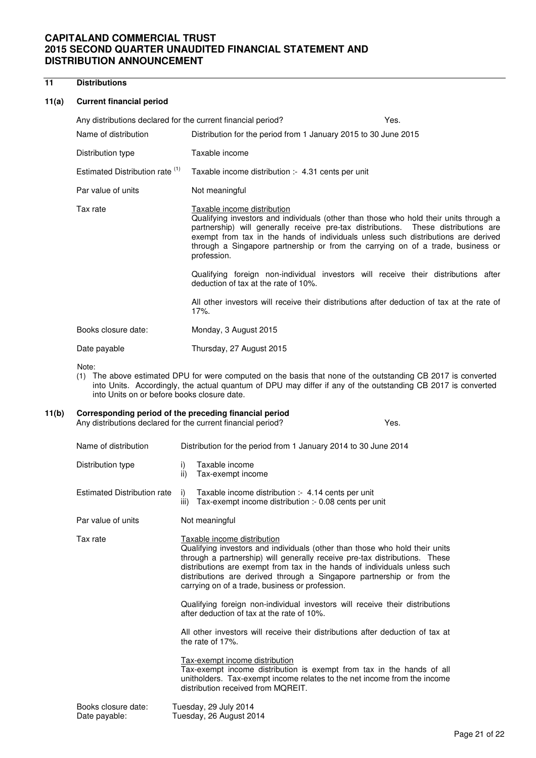### **11 Distributions**

### **11(a) Current financial period**

| Any distributions declared for the current financial period? |                                                                                                                                                                                                                                                                                                                                                                                                   | Yes. |
|--------------------------------------------------------------|---------------------------------------------------------------------------------------------------------------------------------------------------------------------------------------------------------------------------------------------------------------------------------------------------------------------------------------------------------------------------------------------------|------|
| Name of distribution                                         | Distribution for the period from 1 January 2015 to 30 June 2015                                                                                                                                                                                                                                                                                                                                   |      |
| Distribution type                                            | Taxable income                                                                                                                                                                                                                                                                                                                                                                                    |      |
| Estimated Distribution rate (1)                              | Taxable income distribution :- 4.31 cents per unit                                                                                                                                                                                                                                                                                                                                                |      |
| Par value of units                                           | Not meaningful                                                                                                                                                                                                                                                                                                                                                                                    |      |
| Tax rate                                                     | Taxable income distribution<br>Qualifying investors and individuals (other than those who hold their units through a<br>partnership) will generally receive pre-tax distributions. These distributions are<br>exempt from tax in the hands of individuals unless such distributions are derived<br>through a Singapore partnership or from the carrying on of a trade, business or<br>profession. |      |
|                                                              | Qualifying foreign non-individual investors will receive their distributions after<br>deduction of tax at the rate of 10%.                                                                                                                                                                                                                                                                        |      |
|                                                              | All other investors will receive their distributions after deduction of tax at the rate of<br>$17%$ .                                                                                                                                                                                                                                                                                             |      |
| Books closure date:                                          | Monday, 3 August 2015                                                                                                                                                                                                                                                                                                                                                                             |      |
| Date payable                                                 | Thursday, 27 August 2015                                                                                                                                                                                                                                                                                                                                                                          |      |

Note:

(1) The above estimated DPU for were computed on the basis that none of the outstanding CB 2017 is converted into Units. Accordingly, the actual quantum of DPU may differ if any of the outstanding CB 2017 is converted into Units on or before books closure date.

# **11(b) Corresponding period of the preceding financial period**

Any distributions declared for the current financial period? Yes.

| Name of distribution                 |            | Distribution for the period from 1 January 2014 to 30 June 2014                                                                                                                                                                                                                                                                                                                                                                                                                   |
|--------------------------------------|------------|-----------------------------------------------------------------------------------------------------------------------------------------------------------------------------------------------------------------------------------------------------------------------------------------------------------------------------------------------------------------------------------------------------------------------------------------------------------------------------------|
| Distribution type                    | i)<br>ii)  | Taxable income<br>Tax-exempt income                                                                                                                                                                                                                                                                                                                                                                                                                                               |
| <b>Estimated Distribution rate</b>   | i)<br>iii) | Taxable income distribution :- 4.14 cents per unit<br>Tax-exempt income distribution :- 0.08 cents per unit                                                                                                                                                                                                                                                                                                                                                                       |
| Par value of units                   |            | Not meaningful                                                                                                                                                                                                                                                                                                                                                                                                                                                                    |
| Tax rate                             |            | Taxable income distribution<br>Qualifying investors and individuals (other than those who hold their units<br>through a partnership) will generally receive pre-tax distributions. These<br>distributions are exempt from tax in the hands of individuals unless such<br>distributions are derived through a Singapore partnership or from the<br>carrying on of a trade, business or profession.<br>Qualifying foreign non-individual investors will receive their distributions |
|                                      |            | after deduction of tax at the rate of 10%.                                                                                                                                                                                                                                                                                                                                                                                                                                        |
|                                      |            | All other investors will receive their distributions after deduction of tax at<br>the rate of 17%.                                                                                                                                                                                                                                                                                                                                                                                |
|                                      |            | Tax-exempt income distribution<br>Tax-exempt income distribution is exempt from tax in the hands of all<br>unitholders. Tax-exempt income relates to the net income from the income<br>distribution received from MOREIT.                                                                                                                                                                                                                                                         |
| Books closure date:<br>Date payable: |            | Tuesday, 29 July 2014<br>Tuesday, 26 August 2014                                                                                                                                                                                                                                                                                                                                                                                                                                  |